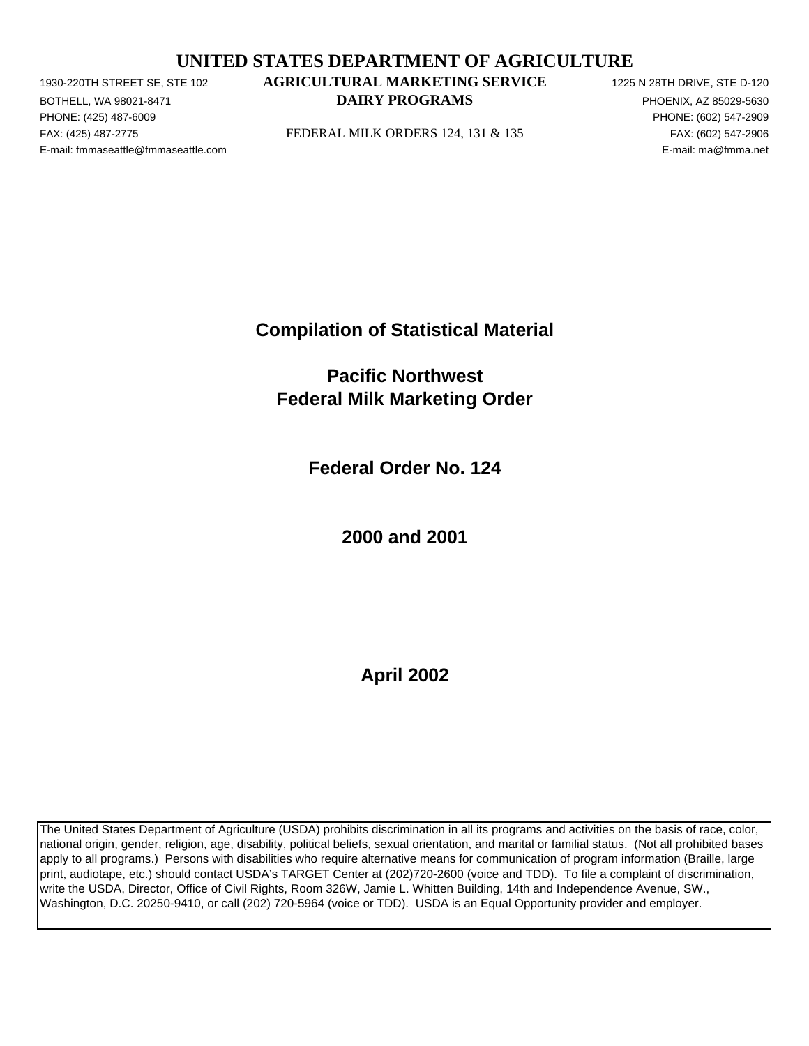## **UNITED STATES DEPARTMENT OF AGRICULTURE**

PHONE: (425) 487-6009 PHONE: (602) 547-2909 E-mail: fmmaseattle@fmmaseattle.com E-mail: ma@fmma.net

## 1930-220TH STREET SE, STE 102 **AGRICULTURAL MARKETING SERVICE** 1225 N 28TH DRIVE, STE D-120 BOTHELL, WA 98021-8471 **EXECUTE A SECOND METALLY PROGRAMS PHOENIX, AZ 85029-5630**

FAX: (425) 487-2775 FEDERAL MILK ORDERS 124, 131 & 135 FAX: (602) 547-2906

**Compilation of Statistical Material**

**Pacific Northwest Federal Milk Marketing Order**

**Federal Order No. 124**

**2000 and 2001**

**April 2002**

The United States Department of Agriculture (USDA) prohibits discrimination in all its programs and activities on the basis of race, color, national origin, gender, religion, age, disability, political beliefs, sexual orientation, and marital or familial status. (Not all prohibited bases apply to all programs.) Persons with disabilities who require alternative means for communication of program information (Braille, large print, audiotape, etc.) should contact USDA's TARGET Center at (202)720-2600 (voice and TDD). To file a complaint of discrimination, write the USDA, Director, Office of Civil Rights, Room 326W, Jamie L. Whitten Building, 14th and Independence Avenue, SW., Washington, D.C. 20250-9410, or call (202) 720-5964 (voice or TDD). USDA is an Equal Opportunity provider and employer.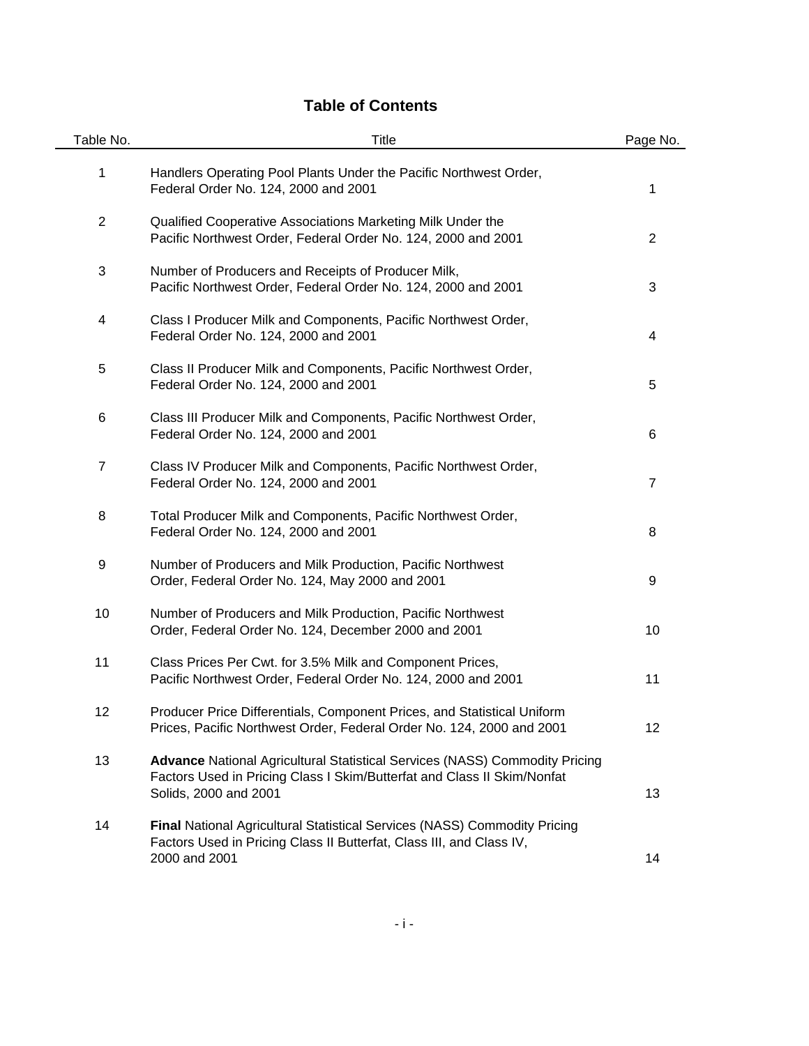# **Table of Contents**

| Table No.      | Title                                                                                                                                                                                  | Page No.       |
|----------------|----------------------------------------------------------------------------------------------------------------------------------------------------------------------------------------|----------------|
| 1              | Handlers Operating Pool Plants Under the Pacific Northwest Order,<br>Federal Order No. 124, 2000 and 2001                                                                              | 1              |
| $\mathbf{2}$   | Qualified Cooperative Associations Marketing Milk Under the<br>Pacific Northwest Order, Federal Order No. 124, 2000 and 2001                                                           | $\overline{2}$ |
| 3              | Number of Producers and Receipts of Producer Milk,<br>Pacific Northwest Order, Federal Order No. 124, 2000 and 2001                                                                    | 3              |
| 4              | Class I Producer Milk and Components, Pacific Northwest Order,<br>Federal Order No. 124, 2000 and 2001                                                                                 | 4              |
| 5              | Class II Producer Milk and Components, Pacific Northwest Order,<br>Federal Order No. 124, 2000 and 2001                                                                                | 5              |
| 6              | Class III Producer Milk and Components, Pacific Northwest Order,<br>Federal Order No. 124, 2000 and 2001                                                                               | 6              |
| $\overline{7}$ | Class IV Producer Milk and Components, Pacific Northwest Order,<br>Federal Order No. 124, 2000 and 2001                                                                                | $\overline{7}$ |
| 8              | Total Producer Milk and Components, Pacific Northwest Order,<br>Federal Order No. 124, 2000 and 2001                                                                                   | 8              |
| 9              | Number of Producers and Milk Production, Pacific Northwest<br>Order, Federal Order No. 124, May 2000 and 2001                                                                          | 9              |
| 10             | Number of Producers and Milk Production, Pacific Northwest<br>Order, Federal Order No. 124, December 2000 and 2001                                                                     | 10             |
| 11             | Class Prices Per Cwt. for 3.5% Milk and Component Prices,<br>Pacific Northwest Order, Federal Order No. 124, 2000 and 2001                                                             | 11             |
| 12             | Producer Price Differentials, Component Prices, and Statistical Uniform<br>Prices, Pacific Northwest Order, Federal Order No. 124, 2000 and 2001                                       | 12             |
| 13             | <b>Advance National Agricultural Statistical Services (NASS) Commodity Pricing</b><br>Factors Used in Pricing Class I Skim/Butterfat and Class II Skim/Nonfat<br>Solids, 2000 and 2001 | 13             |
| 14             | <b>Final National Agricultural Statistical Services (NASS) Commodity Pricing</b><br>Factors Used in Pricing Class II Butterfat, Class III, and Class IV,<br>2000 and 2001              | 14             |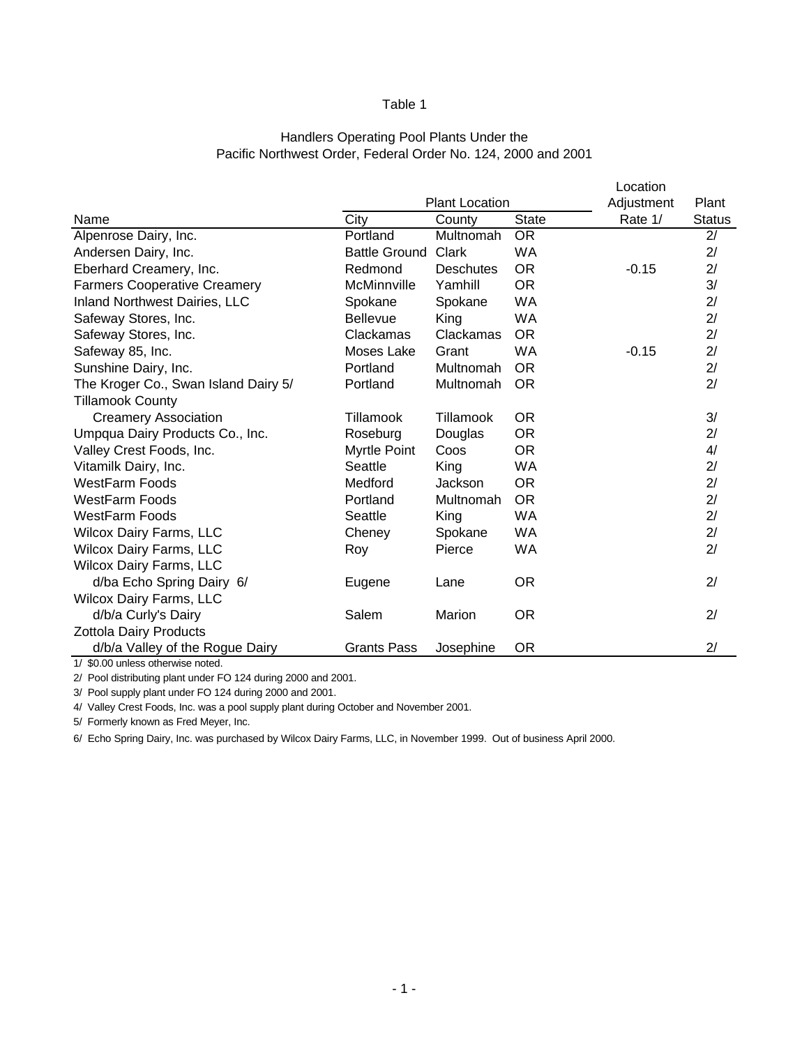## Pacific Northwest Order, Federal Order No. 124, 2000 and 2001 Handlers Operating Pool Plants Under the

|                                      |                      |                       |              | Location   |               |
|--------------------------------------|----------------------|-----------------------|--------------|------------|---------------|
|                                      |                      | <b>Plant Location</b> |              | Adjustment | Plant         |
| Name                                 | City                 | County                | <b>State</b> | Rate 1/    | <b>Status</b> |
| Alpenrose Dairy, Inc.                | Portland             | Multnomah             | <b>OR</b>    |            | 2/            |
| Andersen Dairy, Inc.                 | <b>Battle Ground</b> | Clark                 | <b>WA</b>    |            | 2/            |
| Eberhard Creamery, Inc.              | Redmond              | <b>Deschutes</b>      | <b>OR</b>    | $-0.15$    | 2/            |
| <b>Farmers Cooperative Creamery</b>  | McMinnville          | Yamhill               | <b>OR</b>    |            | 3/            |
| Inland Northwest Dairies, LLC        | Spokane              | Spokane               | <b>WA</b>    |            | 2/            |
| Safeway Stores, Inc.                 | <b>Bellevue</b>      | King                  | <b>WA</b>    |            | 2/            |
| Safeway Stores, Inc.                 | Clackamas            | Clackamas             | OR.          |            | 2/            |
| Safeway 85, Inc.                     | Moses Lake           | Grant                 | <b>WA</b>    | $-0.15$    | 2/            |
| Sunshine Dairy, Inc.                 | Portland             | Multnomah             | OR.          |            | 2/            |
| The Kroger Co., Swan Island Dairy 5/ | Portland             | Multnomah             | <b>OR</b>    |            | 2/            |
| <b>Tillamook County</b>              |                      |                       |              |            |               |
| <b>Creamery Association</b>          | Tillamook            | Tillamook             | <b>OR</b>    |            | 3/            |
| Umpqua Dairy Products Co., Inc.      | Roseburg             | Douglas               | <b>OR</b>    |            | 2/            |
| Valley Crest Foods, Inc.             | Myrtle Point         | Coos                  | <b>OR</b>    |            | 4/            |
| Vitamilk Dairy, Inc.                 | Seattle              | King                  | <b>WA</b>    |            | 2/            |
| <b>WestFarm Foods</b>                | Medford              | Jackson               | <b>OR</b>    |            | 2/            |
| <b>WestFarm Foods</b>                | Portland             | Multnomah             | OR.          |            | 2/            |
| <b>WestFarm Foods</b>                | Seattle              | King                  | <b>WA</b>    |            | 2/            |
| <b>Wilcox Dairy Farms, LLC</b>       | Cheney               | Spokane               | <b>WA</b>    |            | 2/            |
| <b>Wilcox Dairy Farms, LLC</b>       | Roy                  | Pierce                | <b>WA</b>    |            | 2/            |
| <b>Wilcox Dairy Farms, LLC</b>       |                      |                       |              |            |               |
| d/ba Echo Spring Dairy 6/            | Eugene               | Lane                  | <b>OR</b>    |            | 2/            |
| Wilcox Dairy Farms, LLC              |                      |                       |              |            |               |
| d/b/a Curly's Dairy                  | Salem                | Marion                | <b>OR</b>    |            | 2/            |
| <b>Zottola Dairy Products</b>        |                      |                       |              |            |               |
| d/b/a Valley of the Rogue Dairy      | Grants Pass          | Josephine             | <b>OR</b>    |            | 2/            |

1/ \$0.00 unless otherwise noted.

2/ Pool distributing plant under FO 124 during 2000 and 2001.

3/ Pool supply plant under FO 124 during 2000 and 2001.

4/ Valley Crest Foods, Inc. was a pool supply plant during October and November 2001.

5/ Formerly known as Fred Meyer, Inc.

6/ Echo Spring Dairy, Inc. was purchased by Wilcox Dairy Farms, LLC, in November 1999. Out of business April 2000.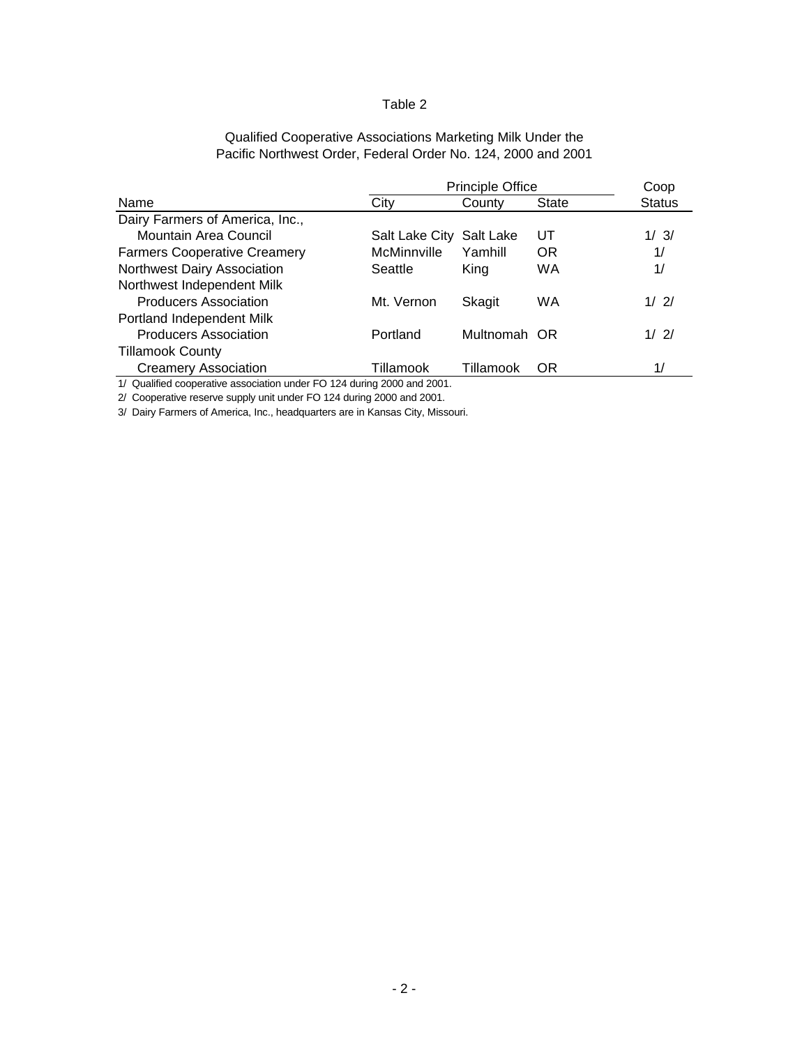## Qualified Cooperative Associations Marketing Milk Under the Pacific Northwest Order, Federal Order No. 124, 2000 and 2001

|                                                                              |                | <b>Principle Office</b> |              |               |  |  |  |  |  |
|------------------------------------------------------------------------------|----------------|-------------------------|--------------|---------------|--|--|--|--|--|
| Name                                                                         | City           | County                  | <b>State</b> | <b>Status</b> |  |  |  |  |  |
| Dairy Farmers of America, Inc.,                                              |                |                         |              |               |  |  |  |  |  |
| Mountain Area Council                                                        | Salt Lake City | Salt Lake               | UΤ           | 1/3/          |  |  |  |  |  |
| <b>Farmers Cooperative Creamery</b>                                          | McMinnville    | Yamhill                 | OR.          | 1/            |  |  |  |  |  |
| Northwest Dairy Association                                                  | Seattle        | King                    | <b>WA</b>    | 1/            |  |  |  |  |  |
| Northwest Independent Milk                                                   |                |                         |              |               |  |  |  |  |  |
| <b>Producers Association</b>                                                 | Mt. Vernon     | Skagit                  | WA           | 1/2/          |  |  |  |  |  |
| Portland Independent Milk                                                    |                |                         |              |               |  |  |  |  |  |
| <b>Producers Association</b>                                                 | Portland       | Multnomah OR            |              | 1/2/          |  |  |  |  |  |
| <b>Tillamook County</b>                                                      |                |                         |              |               |  |  |  |  |  |
| <b>Creamery Association</b>                                                  | Tillamook      | Tillamook               | OR.          | 1/            |  |  |  |  |  |
| 1/ Oughting conceptive conceition under $\Gamma$ 0.424 divisor 2000 and 2004 |                |                         |              |               |  |  |  |  |  |

1/ Qualified cooperative association under FO 124 during 2000 and 2001. 2/ Cooperative reserve supply unit under FO 124 during 2000 and 2001.

3/ Dairy Farmers of America, Inc., headquarters are in Kansas City, Missouri.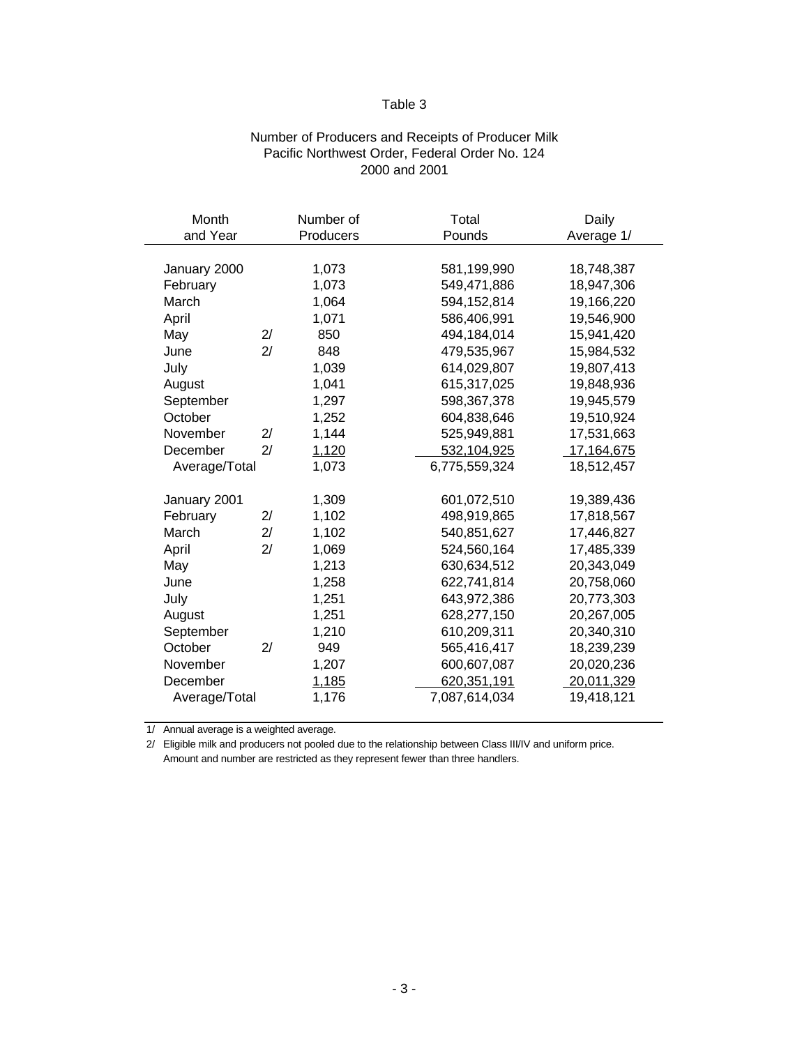## Number of Producers and Receipts of Producer Milk Pacific Northwest Order, Federal Order No. 124 2000 and 2001

| Month         |    | Number of | Total         | Daily      |
|---------------|----|-----------|---------------|------------|
| and Year      |    | Producers | Pounds        | Average 1/ |
|               |    |           |               |            |
| January 2000  |    | 1,073     | 581,199,990   | 18,748,387 |
| February      |    | 1,073     | 549,471,886   | 18,947,306 |
| March         |    | 1,064     | 594,152,814   | 19,166,220 |
| April         |    | 1,071     | 586,406,991   | 19,546,900 |
| May           | 2/ | 850       | 494,184,014   | 15,941,420 |
| June          | 2/ | 848       | 479,535,967   | 15,984,532 |
| July          |    | 1,039     | 614,029,807   | 19,807,413 |
| August        |    | 1,041     | 615,317,025   | 19,848,936 |
| September     |    | 1,297     | 598,367,378   | 19,945,579 |
| October       |    | 1,252     | 604,838,646   | 19,510,924 |
| November      | 2/ | 1,144     | 525,949,881   | 17,531,663 |
| December      | 2/ | 1,120     | 532,104,925   | 17,164,675 |
| Average/Total |    | 1,073     | 6,775,559,324 | 18,512,457 |
|               |    |           |               |            |
| January 2001  |    | 1,309     | 601,072,510   | 19,389,436 |
| February      | 2/ | 1,102     | 498,919,865   | 17,818,567 |
| March         | 2/ | 1,102     | 540,851,627   | 17,446,827 |
| April         | 2/ | 1,069     | 524,560,164   | 17,485,339 |
| May           |    | 1,213     | 630,634,512   | 20,343,049 |
| June          |    | 1,258     | 622,741,814   | 20,758,060 |
| July          |    | 1,251     | 643,972,386   | 20,773,303 |
| August        |    | 1,251     | 628,277,150   | 20,267,005 |
| September     |    | 1,210     | 610,209,311   | 20,340,310 |
| October       | 2/ | 949       | 565,416,417   | 18,239,239 |
| November      |    | 1,207     | 600,607,087   | 20,020,236 |
| December      |    | 1,185     | 620,351,191   | 20,011,329 |
| Average/Total |    | 1,176     | 7,087,614,034 | 19,418,121 |
|               |    |           |               |            |

1/ Annual average is a weighted average.

2/ Eligible milk and producers not pooled due to the relationship between Class III/IV and uniform price. Amount and number are restricted as they represent fewer than three handlers.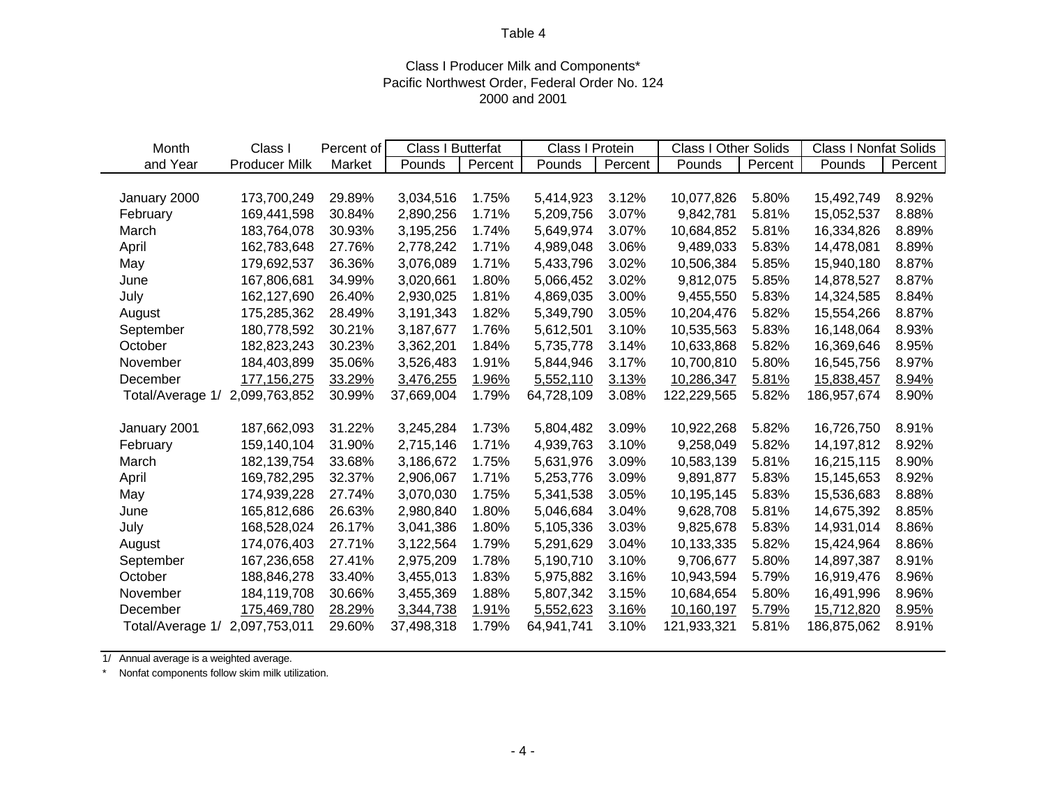## Class I Producer Milk and Components\* Pacific Northwest Order, Federal Order No. 124 2000 and 2001

| Month                          | Class I              | Percent of | Class I Butterfat |         | Class I Protein |         | <b>Class I Other Solids</b> |         | <b>Class I Nonfat Solids</b> |         |
|--------------------------------|----------------------|------------|-------------------|---------|-----------------|---------|-----------------------------|---------|------------------------------|---------|
| and Year                       | <b>Producer Milk</b> | Market     | Pounds            | Percent | Pounds          | Percent | Pounds                      | Percent | Pounds                       | Percent |
|                                |                      |            |                   |         |                 |         |                             |         |                              |         |
| January 2000                   | 173,700,249          | 29.89%     | 3,034,516         | 1.75%   | 5,414,923       | 3.12%   | 10,077,826                  | 5.80%   | 15,492,749                   | 8.92%   |
| February                       | 169,441,598          | 30.84%     | 2,890,256         | 1.71%   | 5,209,756       | 3.07%   | 9,842,781                   | 5.81%   | 15,052,537                   | 8.88%   |
| March                          | 183,764,078          | 30.93%     | 3,195,256         | 1.74%   | 5,649,974       | 3.07%   | 10,684,852                  | 5.81%   | 16,334,826                   | 8.89%   |
| April                          | 162,783,648          | 27.76%     | 2,778,242         | 1.71%   | 4,989,048       | 3.06%   | 9,489,033                   | 5.83%   | 14,478,081                   | 8.89%   |
| May                            | 179,692,537          | 36.36%     | 3,076,089         | 1.71%   | 5,433,796       | 3.02%   | 10,506,384                  | 5.85%   | 15,940,180                   | 8.87%   |
| June                           | 167,806,681          | 34.99%     | 3,020,661         | 1.80%   | 5,066,452       | 3.02%   | 9,812,075                   | 5.85%   | 14,878,527                   | 8.87%   |
| July                           | 162,127,690          | 26.40%     | 2,930,025         | 1.81%   | 4,869,035       | 3.00%   | 9,455,550                   | 5.83%   | 14,324,585                   | 8.84%   |
| August                         | 175,285,362          | 28.49%     | 3,191,343         | 1.82%   | 5,349,790       | 3.05%   | 10,204,476                  | 5.82%   | 15,554,266                   | 8.87%   |
| September                      | 180,778,592          | 30.21%     | 3,187,677         | 1.76%   | 5,612,501       | 3.10%   | 10,535,563                  | 5.83%   | 16,148,064                   | 8.93%   |
| October                        | 182,823,243          | 30.23%     | 3,362,201         | 1.84%   | 5,735,778       | 3.14%   | 10,633,868                  | 5.82%   | 16,369,646                   | 8.95%   |
| November                       | 184,403,899          | 35.06%     | 3,526,483         | 1.91%   | 5,844,946       | 3.17%   | 10,700,810                  | 5.80%   | 16,545,756                   | 8.97%   |
| December                       | 177, 156, 275        | 33.29%     | 3,476,255         | 1.96%   | 5,552,110       | 3.13%   | 10,286,347                  | 5.81%   | 15,838,457                   | 8.94%   |
| Total/Average 1/ 2,099,763,852 |                      | 30.99%     | 37,669,004        | 1.79%   | 64,728,109      | 3.08%   | 122,229,565                 | 5.82%   | 186,957,674                  | 8.90%   |
|                                |                      |            |                   |         |                 |         |                             |         |                              |         |
| January 2001                   | 187,662,093          | 31.22%     | 3,245,284         | 1.73%   | 5,804,482       | 3.09%   | 10,922,268                  | 5.82%   | 16,726,750                   | 8.91%   |
| February                       | 159,140,104          | 31.90%     | 2,715,146         | 1.71%   | 4,939,763       | 3.10%   | 9,258,049                   | 5.82%   | 14,197,812                   | 8.92%   |
| March                          | 182, 139, 754        | 33.68%     | 3,186,672         | 1.75%   | 5,631,976       | 3.09%   | 10,583,139                  | 5.81%   | 16,215,115                   | 8.90%   |
| April                          | 169,782,295          | 32.37%     | 2,906,067         | 1.71%   | 5,253,776       | 3.09%   | 9,891,877                   | 5.83%   | 15,145,653                   | 8.92%   |
| May                            | 174,939,228          | 27.74%     | 3,070,030         | 1.75%   | 5,341,538       | 3.05%   | 10,195,145                  | 5.83%   | 15,536,683                   | 8.88%   |
| June                           | 165,812,686          | 26.63%     | 2,980,840         | 1.80%   | 5,046,684       | 3.04%   | 9,628,708                   | 5.81%   | 14,675,392                   | 8.85%   |
| July                           | 168,528,024          | 26.17%     | 3,041,386         | 1.80%   | 5,105,336       | 3.03%   | 9,825,678                   | 5.83%   | 14,931,014                   | 8.86%   |
| August                         | 174,076,403          | 27.71%     | 3,122,564         | 1.79%   | 5,291,629       | 3.04%   | 10,133,335                  | 5.82%   | 15,424,964                   | 8.86%   |
| September                      | 167,236,658          | 27.41%     | 2,975,209         | 1.78%   | 5,190,710       | 3.10%   | 9,706,677                   | 5.80%   | 14,897,387                   | 8.91%   |
| October                        | 188,846,278          | 33.40%     | 3,455,013         | 1.83%   | 5,975,882       | 3.16%   | 10,943,594                  | 5.79%   | 16,919,476                   | 8.96%   |
| November                       | 184,119,708          | 30.66%     | 3,455,369         | 1.88%   | 5,807,342       | 3.15%   | 10,684,654                  | 5.80%   | 16,491,996                   | 8.96%   |
| December                       | 175,469,780          | 28.29%     | 3,344,738         | 1.91%   | 5,552,623       | 3.16%   | 10,160,197                  | 5.79%   | 15,712,820                   | 8.95%   |
| Total/Average 1/               | 2,097,753,011        | 29.60%     | 37,498,318        | 1.79%   | 64,941,741      | 3.10%   | 121,933,321                 | 5.81%   | 186,875,062                  | 8.91%   |

1/ Annual average is a weighted average.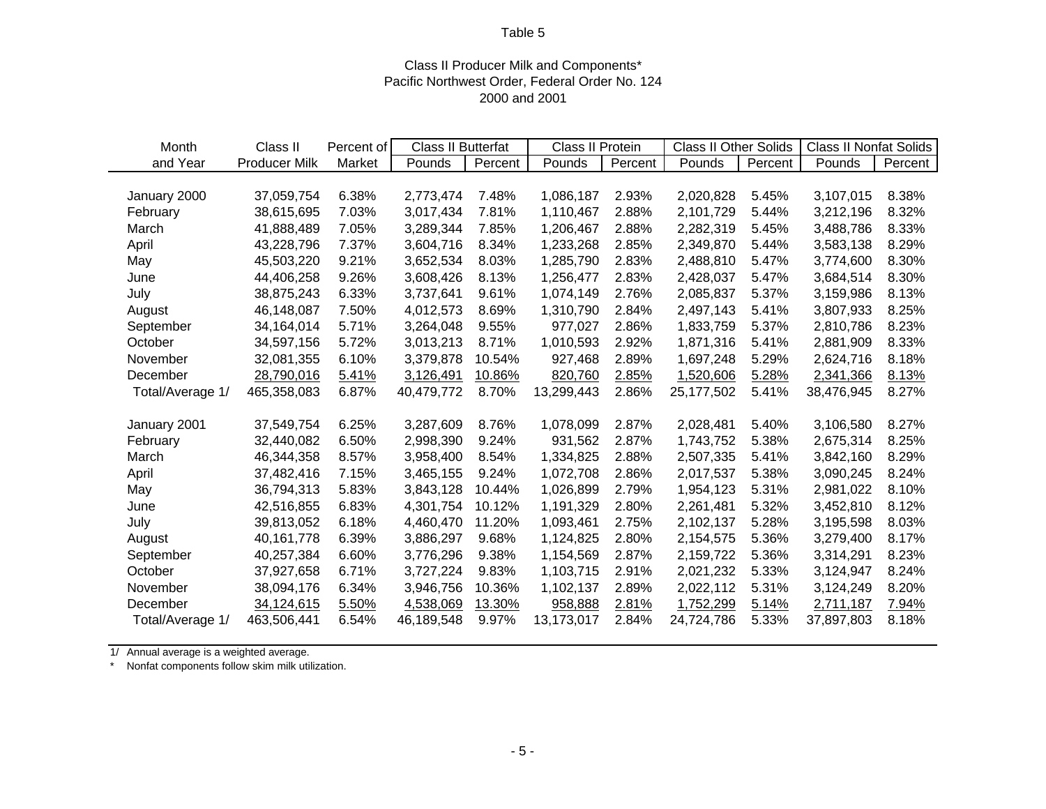## Class II Producer Milk and Components\* Pacific Northwest Order, Federal Order No. 124 2000 and 2001

| Month            | Class II             | Percent of | Class II Butterfat |         | Class II Protein |         | <b>Class II Other Solids</b> |         | <b>Class II Nonfat Solids</b> |         |
|------------------|----------------------|------------|--------------------|---------|------------------|---------|------------------------------|---------|-------------------------------|---------|
| and Year         | <b>Producer Milk</b> | Market     | Pounds             | Percent | Pounds           | Percent | Pounds                       | Percent | Pounds                        | Percent |
|                  |                      |            |                    |         |                  |         |                              |         |                               |         |
| January 2000     | 37,059,754           | 6.38%      | 2,773,474          | 7.48%   | 1,086,187        | 2.93%   | 2,020,828                    | 5.45%   | 3,107,015                     | 8.38%   |
| February         | 38,615,695           | 7.03%      | 3,017,434          | 7.81%   | 1,110,467        | 2.88%   | 2,101,729                    | 5.44%   | 3,212,196                     | 8.32%   |
| March            | 41,888,489           | 7.05%      | 3,289,344          | 7.85%   | 1,206,467        | 2.88%   | 2,282,319                    | 5.45%   | 3,488,786                     | 8.33%   |
| April            | 43,228,796           | 7.37%      | 3,604,716          | 8.34%   | 1,233,268        | 2.85%   | 2,349,870                    | 5.44%   | 3,583,138                     | 8.29%   |
| May              | 45,503,220           | 9.21%      | 3,652,534          | 8.03%   | 1,285,790        | 2.83%   | 2,488,810                    | 5.47%   | 3,774,600                     | 8.30%   |
| June             | 44,406,258           | 9.26%      | 3,608,426          | 8.13%   | 1,256,477        | 2.83%   | 2,428,037                    | 5.47%   | 3,684,514                     | 8.30%   |
| July             | 38,875,243           | 6.33%      | 3,737,641          | 9.61%   | 1,074,149        | 2.76%   | 2,085,837                    | 5.37%   | 3,159,986                     | 8.13%   |
| August           | 46,148,087           | 7.50%      | 4,012,573          | 8.69%   | 1,310,790        | 2.84%   | 2,497,143                    | 5.41%   | 3,807,933                     | 8.25%   |
| September        | 34,164,014           | 5.71%      | 3,264,048          | 9.55%   | 977,027          | 2.86%   | 1,833,759                    | 5.37%   | 2,810,786                     | 8.23%   |
| October          | 34,597,156           | 5.72%      | 3,013,213          | 8.71%   | 1,010,593        | 2.92%   | 1,871,316                    | 5.41%   | 2,881,909                     | 8.33%   |
| November         | 32,081,355           | 6.10%      | 3,379,878          | 10.54%  | 927,468          | 2.89%   | 1,697,248                    | 5.29%   | 2,624,716                     | 8.18%   |
| December         | 28,790,016           | 5.41%      | 3,126,491          | 10.86%  | 820,760          | 2.85%   | 1,520,606                    | 5.28%   | 2,341,366                     | 8.13%   |
| Total/Average 1/ | 465,358,083          | 6.87%      | 40,479,772         | 8.70%   | 13,299,443       | 2.86%   | 25,177,502                   | 5.41%   | 38,476,945                    | 8.27%   |
|                  |                      |            |                    |         |                  |         |                              |         |                               |         |
| January 2001     | 37,549,754           | 6.25%      | 3,287,609          | 8.76%   | 1,078,099        | 2.87%   | 2,028,481                    | 5.40%   | 3,106,580                     | 8.27%   |
| February         | 32,440,082           | 6.50%      | 2,998,390          | 9.24%   | 931,562          | 2.87%   | 1,743,752                    | 5.38%   | 2,675,314                     | 8.25%   |
| March            | 46,344,358           | 8.57%      | 3,958,400          | 8.54%   | 1,334,825        | 2.88%   | 2,507,335                    | 5.41%   | 3,842,160                     | 8.29%   |
| April            | 37,482,416           | 7.15%      | 3,465,155          | 9.24%   | 1,072,708        | 2.86%   | 2,017,537                    | 5.38%   | 3,090,245                     | 8.24%   |
| May              | 36,794,313           | 5.83%      | 3,843,128          | 10.44%  | 1,026,899        | 2.79%   | 1,954,123                    | 5.31%   | 2,981,022                     | 8.10%   |
| June             | 42,516,855           | 6.83%      | 4,301,754          | 10.12%  | 1,191,329        | 2.80%   | 2,261,481                    | 5.32%   | 3,452,810                     | 8.12%   |
| July             | 39,813,052           | 6.18%      | 4,460,470          | 11.20%  | 1,093,461        | 2.75%   | 2,102,137                    | 5.28%   | 3,195,598                     | 8.03%   |
| August           | 40,161,778           | 6.39%      | 3,886,297          | 9.68%   | 1,124,825        | 2.80%   | 2,154,575                    | 5.36%   | 3,279,400                     | 8.17%   |
| September        | 40,257,384           | 6.60%      | 3,776,296          | 9.38%   | 1,154,569        | 2.87%   | 2,159,722                    | 5.36%   | 3,314,291                     | 8.23%   |
| October          | 37,927,658           | 6.71%      | 3,727,224          | 9.83%   | 1,103,715        | 2.91%   | 2,021,232                    | 5.33%   | 3,124,947                     | 8.24%   |
| November         | 38,094,176           | 6.34%      | 3,946,756          | 10.36%  | 1,102,137        | 2.89%   | 2,022,112                    | 5.31%   | 3,124,249                     | 8.20%   |
| December         | 34,124,615           | 5.50%      | 4,538,069          | 13.30%  | 958,888          | 2.81%   | 1,752,299                    | 5.14%   | 2,711,187                     | 7.94%   |
| Total/Average 1/ | 463,506,441          | 6.54%      | 46,189,548         | 9.97%   | 13,173,017       | 2.84%   | 24,724,786                   | 5.33%   | 37,897,803                    | 8.18%   |

1/ Annual average is a weighted average.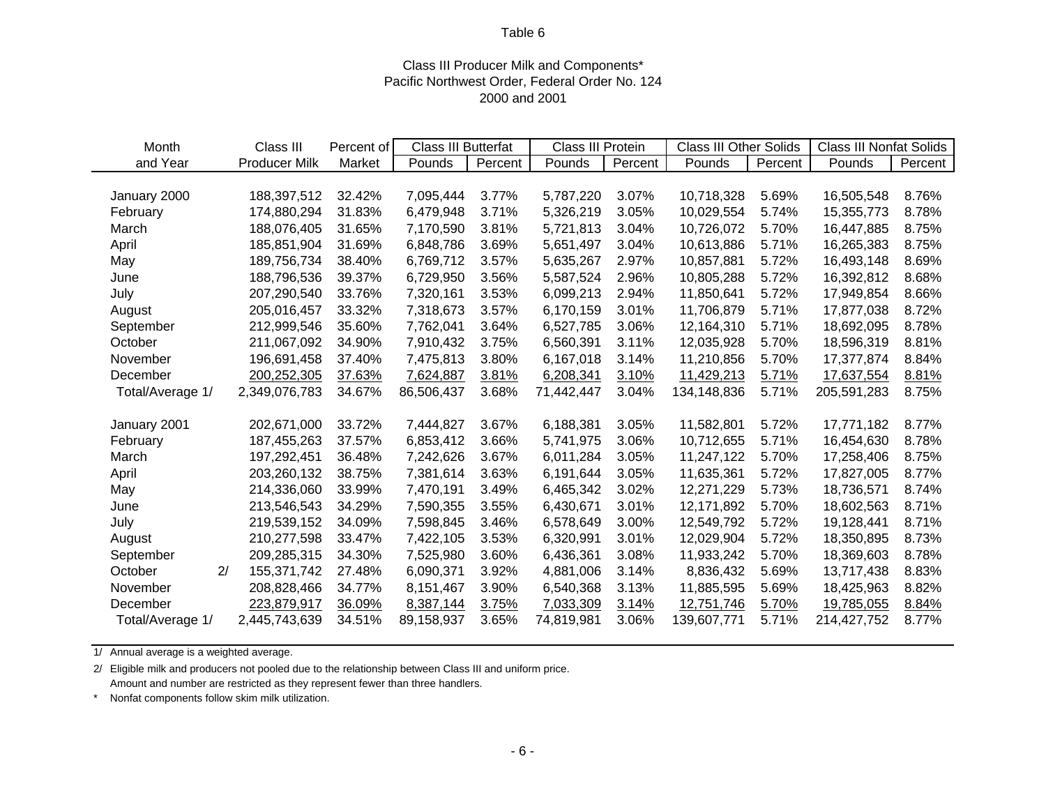## Class III Producer Milk and Components\* Pacific Northwest Order, Federal Order No. 124 2000 and 2001

| Month            | Class III            | Percent of | Class III Butterfat |         | Class III Protein |         | <b>Class III Other Solids</b> |         | <b>Class III Nonfat Solids</b> |         |
|------------------|----------------------|------------|---------------------|---------|-------------------|---------|-------------------------------|---------|--------------------------------|---------|
| and Year         | <b>Producer Milk</b> | Market     | Pounds              | Percent | Pounds            | Percent | Pounds                        | Percent | Pounds                         | Percent |
|                  |                      |            |                     |         |                   |         |                               |         |                                |         |
| January 2000     | 188,397,512          | 32.42%     | 7,095,444           | 3.77%   | 5,787,220         | 3.07%   | 10,718,328                    | 5.69%   | 16,505,548                     | 8.76%   |
| February         | 174,880,294          | 31.83%     | 6,479,948           | 3.71%   | 5,326,219         | 3.05%   | 10,029,554                    | 5.74%   | 15,355,773                     | 8.78%   |
| March            | 188,076,405          | 31.65%     | 7,170,590           | 3.81%   | 5,721,813         | 3.04%   | 10,726,072                    | 5.70%   | 16,447,885                     | 8.75%   |
| April            | 185,851,904          | 31.69%     | 6,848,786           | 3.69%   | 5,651,497         | 3.04%   | 10,613,886                    | 5.71%   | 16,265,383                     | 8.75%   |
| May              | 189,756,734          | 38.40%     | 6,769,712           | 3.57%   | 5,635,267         | 2.97%   | 10,857,881                    | 5.72%   | 16,493,148                     | 8.69%   |
| June             | 188,796,536          | 39.37%     | 6,729,950           | 3.56%   | 5,587,524         | 2.96%   | 10,805,288                    | 5.72%   | 16,392,812                     | 8.68%   |
| July             | 207,290,540          | 33.76%     | 7,320,161           | 3.53%   | 6,099,213         | 2.94%   | 11,850,641                    | 5.72%   | 17,949,854                     | 8.66%   |
| August           | 205,016,457          | 33.32%     | 7,318,673           | 3.57%   | 6,170,159         | 3.01%   | 11,706,879                    | 5.71%   | 17,877,038                     | 8.72%   |
| September        | 212,999,546          | 35.60%     | 7,762,041           | 3.64%   | 6,527,785         | 3.06%   | 12,164,310                    | 5.71%   | 18,692,095                     | 8.78%   |
| October          | 211,067,092          | 34.90%     | 7,910,432           | 3.75%   | 6,560,391         | 3.11%   | 12,035,928                    | 5.70%   | 18,596,319                     | 8.81%   |
| November         | 196,691,458          | 37.40%     | 7,475,813           | 3.80%   | 6,167,018         | 3.14%   | 11,210,856                    | 5.70%   | 17,377,874                     | 8.84%   |
| December         | 200,252,305          | 37.63%     | 7,624,887           | 3.81%   | 6,208,341         | 3.10%   | 11,429,213                    | 5.71%   | 17,637,554                     | 8.81%   |
| Total/Average 1/ | 2,349,076,783        | 34.67%     | 86,506,437          | 3.68%   | 71,442,447        | 3.04%   | 134,148,836                   | 5.71%   | 205,591,283                    | 8.75%   |
|                  |                      |            |                     |         |                   |         |                               |         |                                |         |
| January 2001     | 202,671,000          | 33.72%     | 7,444,827           | 3.67%   | 6,188,381         | 3.05%   | 11,582,801                    | 5.72%   | 17,771,182                     | 8.77%   |
| February         | 187,455,263          | 37.57%     | 6,853,412           | 3.66%   | 5,741,975         | 3.06%   | 10,712,655                    | 5.71%   | 16,454,630                     | 8.78%   |
| March            | 197,292,451          | 36.48%     | 7,242,626           | 3.67%   | 6,011,284         | 3.05%   | 11,247,122                    | 5.70%   | 17,258,406                     | 8.75%   |
| April            | 203,260,132          | 38.75%     | 7,381,614           | 3.63%   | 6,191,644         | 3.05%   | 11,635,361                    | 5.72%   | 17,827,005                     | 8.77%   |
| May              | 214,336,060          | 33.99%     | 7,470,191           | 3.49%   | 6,465,342         | 3.02%   | 12,271,229                    | 5.73%   | 18,736,571                     | 8.74%   |
| June             | 213,546,543          | 34.29%     | 7,590,355           | 3.55%   | 6,430,671         | 3.01%   | 12,171,892                    | 5.70%   | 18,602,563                     | 8.71%   |
| July             | 219,539,152          | 34.09%     | 7,598,845           | 3.46%   | 6,578,649         | 3.00%   | 12,549,792                    | 5.72%   | 19,128,441                     | 8.71%   |
| August           | 210,277,598          | 33.47%     | 7,422,105           | 3.53%   | 6,320,991         | 3.01%   | 12,029,904                    | 5.72%   | 18,350,895                     | 8.73%   |
| September        | 209,285,315          | 34.30%     | 7,525,980           | 3.60%   | 6,436,361         | 3.08%   | 11,933,242                    | 5.70%   | 18,369,603                     | 8.78%   |
| 2/<br>October    | 155,371,742          | 27.48%     | 6,090,371           | 3.92%   | 4,881,006         | 3.14%   | 8,836,432                     | 5.69%   | 13,717,438                     | 8.83%   |
| November         | 208,828,466          | 34.77%     | 8,151,467           | 3.90%   | 6,540,368         | 3.13%   | 11,885,595                    | 5.69%   | 18,425,963                     | 8.82%   |
| December         | 223,879,917          | 36.09%     | 8,387,144           | 3.75%   | 7,033,309         | 3.14%   | 12,751,746                    | 5.70%   | 19,785,055                     | 8.84%   |
| Total/Average 1/ | 2,445,743,639        | 34.51%     | 89,158,937          | 3.65%   | 74,819,981        | 3.06%   | 139,607,771                   | 5.71%   | 214,427,752                    | 8.77%   |

1/ Annual average is a weighted average.

2/ Eligible milk and producers not pooled due to the relationship between Class III and uniform price. Amount and number are restricted as they represent fewer than three handlers.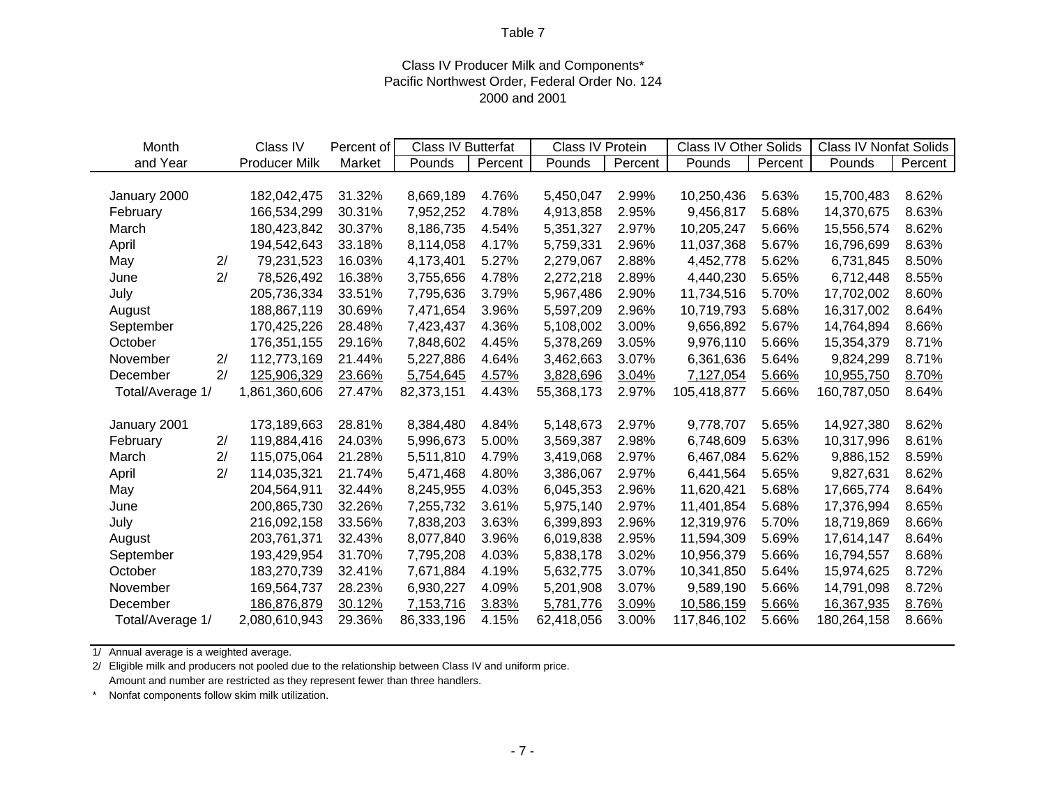## Class IV Producer Milk and Components\* Pacific Northwest Order, Federal Order No. 124 2000 and 2001

| Month            |    | Class IV             | Percent of | Class IV Butterfat |         | Class IV Protein |         | <b>Class IV Other Solids</b> |         | <b>Class IV Nonfat Solids</b> |         |
|------------------|----|----------------------|------------|--------------------|---------|------------------|---------|------------------------------|---------|-------------------------------|---------|
| and Year         |    | <b>Producer Milk</b> | Market     | Pounds             | Percent | Pounds           | Percent | Pounds                       | Percent | Pounds                        | Percent |
|                  |    |                      |            |                    |         |                  |         |                              |         |                               |         |
| January 2000     |    | 182,042,475          | 31.32%     | 8,669,189          | 4.76%   | 5,450,047        | 2.99%   | 10,250,436                   | 5.63%   | 15,700,483                    | 8.62%   |
| February         |    | 166,534,299          | 30.31%     | 7,952,252          | 4.78%   | 4,913,858        | 2.95%   | 9,456,817                    | 5.68%   | 14,370,675                    | 8.63%   |
| March            |    | 180,423,842          | 30.37%     | 8,186,735          | 4.54%   | 5,351,327        | 2.97%   | 10,205,247                   | 5.66%   | 15,556,574                    | 8.62%   |
| April            |    | 194,542,643          | 33.18%     | 8,114,058          | 4.17%   | 5,759,331        | 2.96%   | 11,037,368                   | 5.67%   | 16,796,699                    | 8.63%   |
| May              | 2/ | 79,231,523           | 16.03%     | 4,173,401          | 5.27%   | 2,279,067        | 2.88%   | 4,452,778                    | 5.62%   | 6,731,845                     | 8.50%   |
| June             | 2/ | 78,526,492           | 16.38%     | 3,755,656          | 4.78%   | 2,272,218        | 2.89%   | 4,440,230                    | 5.65%   | 6,712,448                     | 8.55%   |
| July             |    | 205,736,334          | 33.51%     | 7,795,636          | 3.79%   | 5,967,486        | 2.90%   | 11,734,516                   | 5.70%   | 17,702,002                    | 8.60%   |
| August           |    | 188,867,119          | 30.69%     | 7,471,654          | 3.96%   | 5,597,209        | 2.96%   | 10,719,793                   | 5.68%   | 16,317,002                    | 8.64%   |
| September        |    | 170,425,226          | 28.48%     | 7,423,437          | 4.36%   | 5,108,002        | 3.00%   | 9,656,892                    | 5.67%   | 14,764,894                    | 8.66%   |
| October          |    | 176,351,155          | 29.16%     | 7,848,602          | 4.45%   | 5,378,269        | 3.05%   | 9,976,110                    | 5.66%   | 15,354,379                    | 8.71%   |
| November         | 2/ | 112,773,169          | 21.44%     | 5,227,886          | 4.64%   | 3,462,663        | 3.07%   | 6,361,636                    | 5.64%   | 9,824,299                     | 8.71%   |
| December         | 2/ | 125,906,329          | 23.66%     | 5,754,645          | 4.57%   | 3,828,696        | 3.04%   | 7,127,054                    | 5.66%   | 10,955,750                    | 8.70%   |
| Total/Average 1/ |    | 1,861,360,606        | 27.47%     | 82,373,151         | 4.43%   | 55,368,173       | 2.97%   | 105,418,877                  | 5.66%   | 160,787,050                   | 8.64%   |
|                  |    |                      |            |                    |         |                  |         |                              |         |                               |         |
| January 2001     |    | 173,189,663          | 28.81%     | 8,384,480          | 4.84%   | 5,148,673        | 2.97%   | 9,778,707                    | 5.65%   | 14,927,380                    | 8.62%   |
| February         | 2/ | 119,884,416          | 24.03%     | 5,996,673          | 5.00%   | 3,569,387        | 2.98%   | 6,748,609                    | 5.63%   | 10,317,996                    | 8.61%   |
| March            | 2/ | 115,075,064          | 21.28%     | 5,511,810          | 4.79%   | 3,419,068        | 2.97%   | 6,467,084                    | 5.62%   | 9,886,152                     | 8.59%   |
| April            | 2/ | 114,035,321          | 21.74%     | 5,471,468          | 4.80%   | 3,386,067        | 2.97%   | 6,441,564                    | 5.65%   | 9,827,631                     | 8.62%   |
| May              |    | 204,564,911          | 32.44%     | 8,245,955          | 4.03%   | 6,045,353        | 2.96%   | 11,620,421                   | 5.68%   | 17,665,774                    | 8.64%   |
| June             |    | 200,865,730          | 32.26%     | 7,255,732          | 3.61%   | 5,975,140        | 2.97%   | 11,401,854                   | 5.68%   | 17,376,994                    | 8.65%   |
| July             |    | 216,092,158          | 33.56%     | 7,838,203          | 3.63%   | 6,399,893        | 2.96%   | 12,319,976                   | 5.70%   | 18,719,869                    | 8.66%   |
| August           |    | 203,761,371          | 32.43%     | 8,077,840          | 3.96%   | 6,019,838        | 2.95%   | 11,594,309                   | 5.69%   | 17,614,147                    | 8.64%   |
| September        |    | 193,429,954          | 31.70%     | 7,795,208          | 4.03%   | 5,838,178        | 3.02%   | 10,956,379                   | 5.66%   | 16,794,557                    | 8.68%   |
| October          |    | 183,270,739          | 32.41%     | 7,671,884          | 4.19%   | 5,632,775        | 3.07%   | 10,341,850                   | 5.64%   | 15,974,625                    | 8.72%   |
| November         |    | 169,564,737          | 28.23%     | 6,930,227          | 4.09%   | 5,201,908        | 3.07%   | 9,589,190                    | 5.66%   | 14,791,098                    | 8.72%   |
| December         |    | 186,876,879          | 30.12%     | 7,153,716          | 3.83%   | 5,781,776        | 3.09%   | 10,586,159                   | 5.66%   | 16,367,935                    | 8.76%   |
| Total/Average 1/ |    | 2,080,610,943        | 29.36%     | 86,333,196         | 4.15%   | 62,418,056       | 3.00%   | 117,846,102                  | 5.66%   | 180,264,158                   | 8.66%   |

1/ Annual average is a weighted average.

2/ Eligible milk and producers not pooled due to the relationship between Class IV and uniform price. Amount and number are restricted as they represent fewer than three handlers.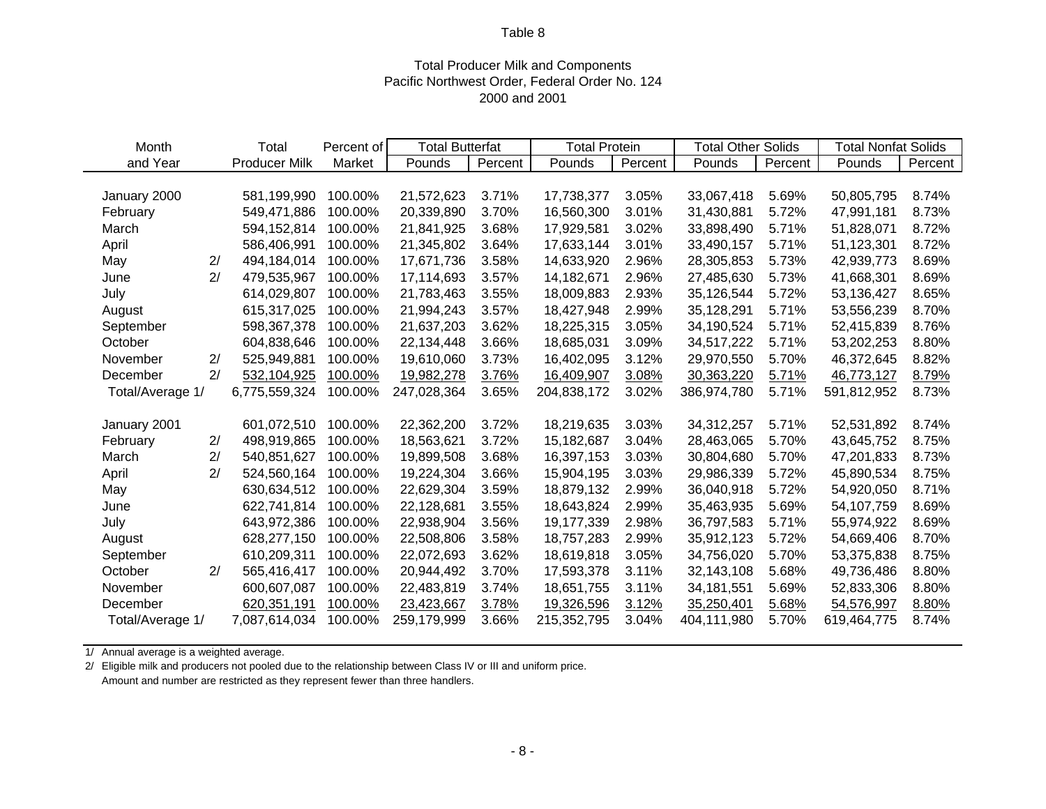## Total Producer Milk and Components Pacific Northwest Order, Federal Order No. 124 2000 and 2001

| Month            |    | Total                | Percent of | <b>Total Butterfat</b> |         | <b>Total Protein</b> |         | <b>Total Other Solids</b> |         | <b>Total Nonfat Solids</b> |         |
|------------------|----|----------------------|------------|------------------------|---------|----------------------|---------|---------------------------|---------|----------------------------|---------|
| and Year         |    | <b>Producer Milk</b> | Market     | Pounds                 | Percent | Pounds               | Percent | Pounds                    | Percent | Pounds                     | Percent |
|                  |    |                      |            |                        |         |                      |         |                           |         |                            |         |
| January 2000     |    | 581,199,990          | 100.00%    | 21,572,623             | 3.71%   | 17,738,377           | 3.05%   | 33,067,418                | 5.69%   | 50,805,795                 | 8.74%   |
| February         |    | 549,471,886          | 100.00%    | 20,339,890             | 3.70%   | 16,560,300           | 3.01%   | 31,430,881                | 5.72%   | 47,991,181                 | 8.73%   |
| March            |    | 594,152,814          | 100.00%    | 21,841,925             | 3.68%   | 17,929,581           | 3.02%   | 33,898,490                | 5.71%   | 51,828,071                 | 8.72%   |
| April            |    | 586,406,991          | 100.00%    | 21,345,802             | 3.64%   | 17,633,144           | 3.01%   | 33,490,157                | 5.71%   | 51,123,301                 | 8.72%   |
| May              | 2/ | 494,184,014          | 100.00%    | 17,671,736             | 3.58%   | 14,633,920           | 2.96%   | 28,305,853                | 5.73%   | 42,939,773                 | 8.69%   |
| June             | 2/ | 479,535,967          | 100.00%    | 17,114,693             | 3.57%   | 14,182,671           | 2.96%   | 27,485,630                | 5.73%   | 41,668,301                 | 8.69%   |
| July             |    | 614,029,807          | 100.00%    | 21,783,463             | 3.55%   | 18,009,883           | 2.93%   | 35,126,544                | 5.72%   | 53,136,427                 | 8.65%   |
| August           |    | 615,317,025          | 100.00%    | 21,994,243             | 3.57%   | 18,427,948           | 2.99%   | 35,128,291                | 5.71%   | 53,556,239                 | 8.70%   |
| September        |    | 598,367,378          | 100.00%    | 21,637,203             | 3.62%   | 18,225,315           | 3.05%   | 34,190,524                | 5.71%   | 52,415,839                 | 8.76%   |
| October          |    | 604,838,646          | 100.00%    | 22,134,448             | 3.66%   | 18,685,031           | 3.09%   | 34,517,222                | 5.71%   | 53,202,253                 | 8.80%   |
| November         | 2/ | 525,949,881          | 100.00%    | 19,610,060             | 3.73%   | 16,402,095           | 3.12%   | 29,970,550                | 5.70%   | 46,372,645                 | 8.82%   |
| December         | 2/ | 532,104,925          | 100.00%    | 19,982,278             | 3.76%   | 16,409,907           | 3.08%   | 30,363,220                | 5.71%   | 46,773,127                 | 8.79%   |
| Total/Average 1/ |    | 6,775,559,324        | 100.00%    | 247,028,364            | 3.65%   | 204,838,172          | 3.02%   | 386,974,780               | 5.71%   | 591,812,952                | 8.73%   |
|                  |    |                      |            |                        |         |                      |         |                           |         |                            |         |
| January 2001     |    | 601,072,510          | 100.00%    | 22,362,200             | 3.72%   | 18,219,635           | 3.03%   | 34,312,257                | 5.71%   | 52,531,892                 | 8.74%   |
| February         | 2/ | 498,919,865          | 100.00%    | 18,563,621             | 3.72%   | 15,182,687           | 3.04%   | 28,463,065                | 5.70%   | 43,645,752                 | 8.75%   |
| March            | 2/ | 540,851,627          | 100.00%    | 19,899,508             | 3.68%   | 16,397,153           | 3.03%   | 30,804,680                | 5.70%   | 47,201,833                 | 8.73%   |
| April            | 2/ | 524,560,164          | 100.00%    | 19,224,304             | 3.66%   | 15,904,195           | 3.03%   | 29,986,339                | 5.72%   | 45,890,534                 | 8.75%   |
| May              |    | 630,634,512          | 100.00%    | 22,629,304             | 3.59%   | 18,879,132           | 2.99%   | 36,040,918                | 5.72%   | 54,920,050                 | 8.71%   |
| June             |    | 622,741,814          | 100.00%    | 22,128,681             | 3.55%   | 18,643,824           | 2.99%   | 35,463,935                | 5.69%   | 54,107,759                 | 8.69%   |
| July             |    | 643,972,386          | 100.00%    | 22,938,904             | 3.56%   | 19,177,339           | 2.98%   | 36,797,583                | 5.71%   | 55,974,922                 | 8.69%   |
| August           |    | 628,277,150          | 100.00%    | 22,508,806             | 3.58%   | 18,757,283           | 2.99%   | 35,912,123                | 5.72%   | 54,669,406                 | 8.70%   |
| September        |    | 610,209,311          | 100.00%    | 22,072,693             | 3.62%   | 18,619,818           | 3.05%   | 34,756,020                | 5.70%   | 53,375,838                 | 8.75%   |
| October          | 2/ | 565,416,417          | 100.00%    | 20,944,492             | 3.70%   | 17,593,378           | 3.11%   | 32,143,108                | 5.68%   | 49,736,486                 | 8.80%   |
| November         |    | 600,607,087          | 100.00%    | 22,483,819             | 3.74%   | 18,651,755           | 3.11%   | 34, 181, 551              | 5.69%   | 52,833,306                 | 8.80%   |
| December         |    | 620,351,191          | 100.00%    | 23,423,667             | 3.78%   | 19,326,596           | 3.12%   | 35,250,401                | 5.68%   | 54,576,997                 | 8.80%   |
| Total/Average 1/ |    | 7,087,614,034        | 100.00%    | 259,179,999            | 3.66%   | 215,352,795          | 3.04%   | 404,111,980               | 5.70%   | 619,464,775                | 8.74%   |

1/ Annual average is a weighted average.

2/ Eligible milk and producers not pooled due to the relationship between Class IV or III and uniform price. Amount and number are restricted as they represent fewer than three handlers.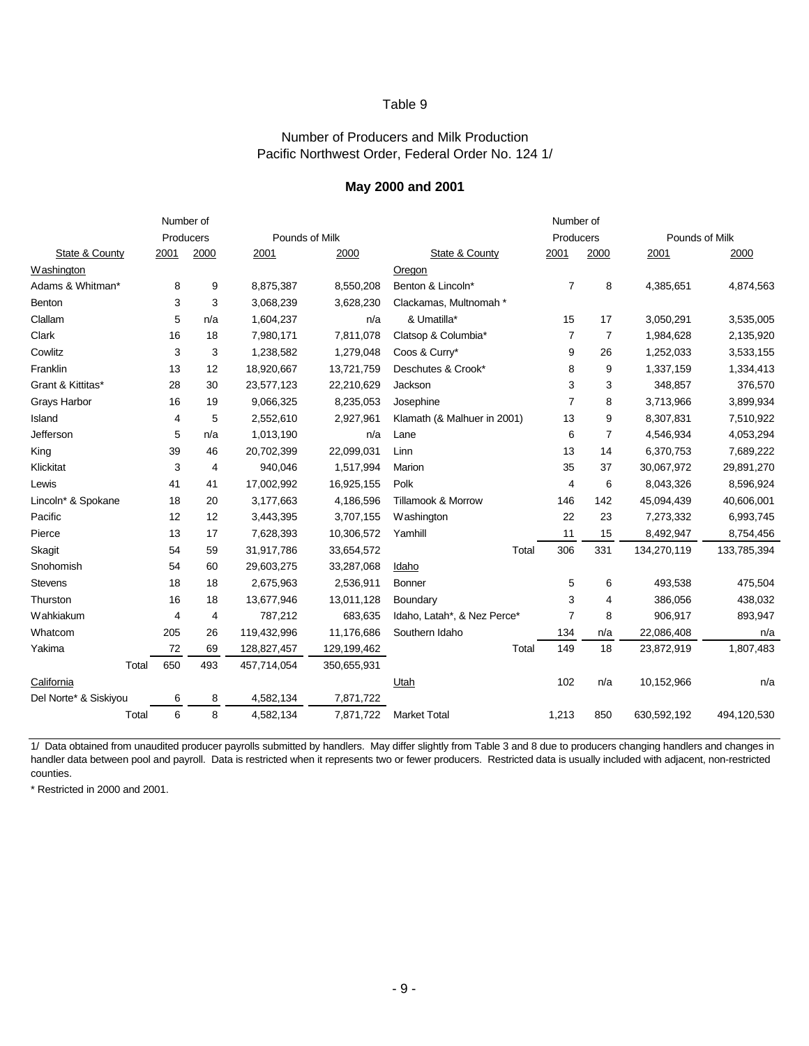#### Number of Producers and Milk Production Pacific Northwest Order, Federal Order No. 124 1/

#### **May 2000 and 2001**

|                       |       | Number of |                |             |                | Number of                   |                |                |                |             |  |  |
|-----------------------|-------|-----------|----------------|-------------|----------------|-----------------------------|----------------|----------------|----------------|-------------|--|--|
|                       |       | Producers |                |             | Pounds of Milk |                             | Producers      |                | Pounds of Milk |             |  |  |
| State & County        |       | 2001      | 2000           | 2001        | 2000           | State & County              | 2001           | 2000           | 2001           | 2000        |  |  |
| Washington            |       |           |                |             |                | Oregon                      |                |                |                |             |  |  |
| Adams & Whitman*      |       | 8         | 9              | 8,875,387   | 8,550,208      | Benton & Lincoln*           | $\overline{7}$ | 8              | 4,385,651      | 4,874,563   |  |  |
| Benton                |       | 3         | 3              | 3,068,239   | 3,628,230      | Clackamas, Multnomah *      |                |                |                |             |  |  |
| Clallam               |       | 5         | n/a            | 1,604,237   | n/a            | & Umatilla*                 | 15             | 17             | 3,050,291      | 3,535,005   |  |  |
| Clark                 |       | 16        | 18             | 7,980,171   | 7,811,078      | Clatsop & Columbia*         | $\overline{7}$ | $\overline{7}$ | 1,984,628      | 2,135,920   |  |  |
| Cowlitz               |       | 3         | 3              | 1,238,582   | 1,279,048      | Coos & Curry*               | 9              | 26             | 1,252,033      | 3,533,155   |  |  |
| Franklin              |       | 13        | 12             | 18,920,667  | 13,721,759     | Deschutes & Crook*          | 8              | 9              | 1,337,159      | 1,334,413   |  |  |
| Grant & Kittitas*     |       | 28        | 30             | 23,577,123  | 22,210,629     | Jackson                     | 3              | 3              | 348,857        | 376,570     |  |  |
| Grays Harbor          |       | 16        | 19             | 9,066,325   | 8,235,053      | Josephine                   | $\overline{7}$ | 8              | 3,713,966      | 3,899,934   |  |  |
| Island                |       | 4         | 5              | 2,552,610   | 2,927,961      | Klamath (& Malhuer in 2001) | 13             | 9              | 8,307,831      | 7,510,922   |  |  |
| Jefferson             |       | 5         | n/a            | 1,013,190   | n/a            | Lane                        | 6              | $\overline{7}$ | 4,546,934      | 4,053,294   |  |  |
| King                  |       | 39        | 46             | 20,702,399  | 22,099,031     | Linn                        | 13             | 14             | 6,370,753      | 7,689,222   |  |  |
| Klickitat             |       | 3         | 4              | 940,046     | 1,517,994      | Marion                      | 35             | 37             | 30,067,972     | 29,891,270  |  |  |
| Lewis                 |       | 41        | 41             | 17,002,992  | 16,925,155     | Polk                        | 4              | 6              | 8,043,326      | 8,596,924   |  |  |
| Lincoln* & Spokane    |       | 18        | 20             | 3,177,663   | 4,186,596      | Tillamook & Morrow          | 146            | 142            | 45,094,439     | 40,606,001  |  |  |
| Pacific               |       | 12        | 12             | 3,443,395   | 3,707,155      | Washington                  | 22             | 23             | 7,273,332      | 6,993,745   |  |  |
| Pierce                |       | 13        | 17             | 7,628,393   | 10,306,572     | Yamhill                     | 11             | 15             | 8,492,947      | 8,754,456   |  |  |
| Skagit                |       | 54        | 59             | 31,917,786  | 33,654,572     | Total                       | 306            | 331            | 134,270,119    | 133,785,394 |  |  |
| Snohomish             |       | 54        | 60             | 29,603,275  | 33,287,068     | Idaho                       |                |                |                |             |  |  |
| <b>Stevens</b>        |       | 18        | 18             | 2,675,963   | 2,536,911      | <b>Bonner</b>               | 5              | 6              | 493,538        | 475,504     |  |  |
| Thurston              |       | 16        | 18             | 13,677,946  | 13,011,128     | Boundary                    | 3              | 4              | 386,056        | 438,032     |  |  |
| Wahkiakum             |       | 4         | $\overline{4}$ | 787,212     | 683,635        | Idaho, Latah*, & Nez Perce* | $\overline{7}$ | 8              | 906,917        | 893,947     |  |  |
| Whatcom               |       | 205       | 26             | 119,432,996 | 11,176,686     | Southern Idaho              | 134            | n/a            | 22,086,408     | n/a         |  |  |
| Yakima                |       | 72        | 69             | 128,827,457 | 129,199,462    | Total                       | 149            | 18             | 23,872,919     | 1,807,483   |  |  |
|                       | Total | 650       | 493            | 457,714,054 | 350,655,931    |                             |                |                |                |             |  |  |
| California            |       |           |                |             |                | Utah                        | 102            | n/a            | 10,152,966     | n/a         |  |  |
| Del Norte* & Siskiyou |       | 6         | 8              | 4,582,134   | 7,871,722      |                             |                |                |                |             |  |  |
|                       | Total | 6         | 8              | 4,582,134   | 7,871,722      | <b>Market Total</b>         | 1,213          | 850            | 630,592,192    | 494,120,530 |  |  |

1/ Data obtained from unaudited producer payrolls submitted by handlers. May differ slightly from Table 3 and 8 due to producers changing handlers and changes in handler data between pool and payroll. Data is restricted when it represents two or fewer producers. Restricted data is usually included with adjacent, non-restricted counties.

\* Restricted in 2000 and 2001.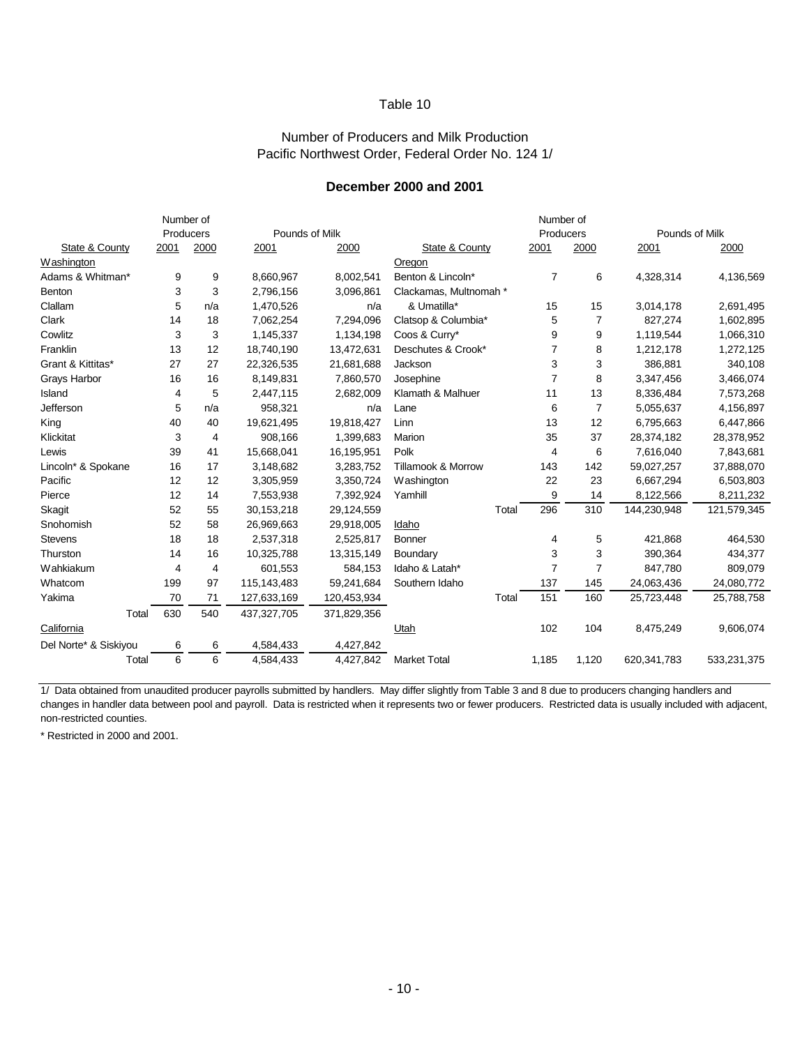#### Number of Producers and Milk Production Pacific Northwest Order, Federal Order No. 124 1/

#### **December 2000 and 2001**

|                       | Number of |      |                |             | Number of                     |       |                |                |                |             |  |
|-----------------------|-----------|------|----------------|-------------|-------------------------------|-------|----------------|----------------|----------------|-------------|--|
|                       | Producers |      | Pounds of Milk |             |                               |       | Producers      |                | Pounds of Milk |             |  |
| State & County        | 2001      | 2000 | 2001           | 2000        | State & County                |       | 2001           | 2000           | 2001           | 2000        |  |
| Washington            |           |      |                |             | Oregon                        |       |                |                |                |             |  |
| Adams & Whitman*      | 9         | 9    | 8,660,967      | 8,002,541   | Benton & Lincoln*             |       | $\overline{7}$ | 6              | 4,328,314      | 4,136,569   |  |
| Benton                | 3         | 3    | 2,796,156      | 3,096,861   | Clackamas, Multnomah *        |       |                |                |                |             |  |
| Clallam               | 5         | n/a  | 1,470,526      | n/a         | & Umatilla*                   |       | 15             | 15             | 3,014,178      | 2,691,495   |  |
| Clark                 | 14        | 18   | 7,062,254      | 7,294,096   | Clatsop & Columbia*           |       | 5              | $\overline{7}$ | 827,274        | 1,602,895   |  |
| Cowlitz               | 3         | 3    | 1,145,337      | 1,134,198   | Coos & Curry*                 |       | 9              | 9              | 1,119,544      | 1,066,310   |  |
| Franklin              | 13        | 12   | 18,740,190     | 13,472,631  | Deschutes & Crook*            |       | 7              | 8              | 1,212,178      | 1,272,125   |  |
| Grant & Kittitas*     | 27        | 27   | 22,326,535     | 21,681,688  | Jackson                       |       | 3              | 3              | 386,881        | 340,108     |  |
| Grays Harbor          | 16        | 16   | 8,149,831      | 7,860,570   | Josephine                     |       | 7              | 8              | 3,347,456      | 3,466,074   |  |
| Island                | 4         | 5    | 2,447,115      | 2,682,009   | Klamath & Malhuer             |       | 11             | 13             | 8,336,484      | 7,573,268   |  |
| Jefferson             | 5         | n/a  | 958,321        | n/a         | Lane                          |       | 6              | $\overline{7}$ | 5,055,637      | 4,156,897   |  |
| King                  | 40        | 40   | 19,621,495     | 19,818,427  | Linn                          |       | 13             | 12             | 6,795,663      | 6,447,866   |  |
| Klickitat             | 3         | 4    | 908,166        | 1,399,683   | Marion                        |       | 35             | 37             | 28,374,182     | 28,378,952  |  |
| Lewis                 | 39        | 41   | 15,668,041     | 16,195,951  | Polk                          |       | 4              | 6              | 7,616,040      | 7,843,681   |  |
| Lincoln* & Spokane    | 16        | 17   | 3,148,682      | 3,283,752   | <b>Tillamook &amp; Morrow</b> |       | 143            | 142            | 59,027,257     | 37,888,070  |  |
| Pacific               | 12        | 12   | 3,305,959      | 3,350,724   | Washington                    |       | 22             | 23             | 6,667,294      | 6,503,803   |  |
| Pierce                | 12        | 14   | 7,553,938      | 7,392,924   | Yamhill                       |       | 9              | 14             | 8,122,566      | 8,211,232   |  |
| Skagit                | 52        | 55   | 30,153,218     | 29,124,559  |                               | Total | 296            | 310            | 144,230,948    | 121,579,345 |  |
| Snohomish             | 52        | 58   | 26,969,663     | 29,918,005  | Idaho                         |       |                |                |                |             |  |
| <b>Stevens</b>        | 18        | 18   | 2,537,318      | 2,525,817   | Bonner                        |       | 4              | 5              | 421,868        | 464,530     |  |
| Thurston              | 14        | 16   | 10,325,788     | 13,315,149  | Boundary                      |       | 3              | 3              | 390,364        | 434,377     |  |
| Wahkiakum             | 4         | 4    | 601,553        | 584,153     | Idaho & Latah*                |       | $\overline{7}$ | $\overline{7}$ | 847,780        | 809,079     |  |
| Whatcom               | 199       | 97   | 115,143,483    | 59,241,684  | Southern Idaho                |       | 137            | 145            | 24,063,436     | 24,080,772  |  |
| Yakima                | 70        | 71   | 127,633,169    | 120,453,934 |                               | Total | 151            | 160            | 25,723,448     | 25,788,758  |  |
| Total                 | 630       | 540  | 437, 327, 705  | 371,829,356 |                               |       |                |                |                |             |  |
| California            |           |      |                |             | Utah                          |       | 102            | 104            | 8,475,249      | 9,606,074   |  |
| Del Norte* & Siskiyou | 6         | 6    | 4,584,433      | 4,427,842   |                               |       |                |                |                |             |  |
| Total                 | 6         | 6    | 4,584,433      | 4,427,842   | <b>Market Total</b>           |       | 1,185          | 1,120          | 620,341,783    | 533,231,375 |  |

1/ Data obtained from unaudited producer payrolls submitted by handlers. May differ slightly from Table 3 and 8 due to producers changing handlers and changes in handler data between pool and payroll. Data is restricted when it represents two or fewer producers. Restricted data is usually included with adjacent, non-restricted counties.

\* Restricted in 2000 and 2001.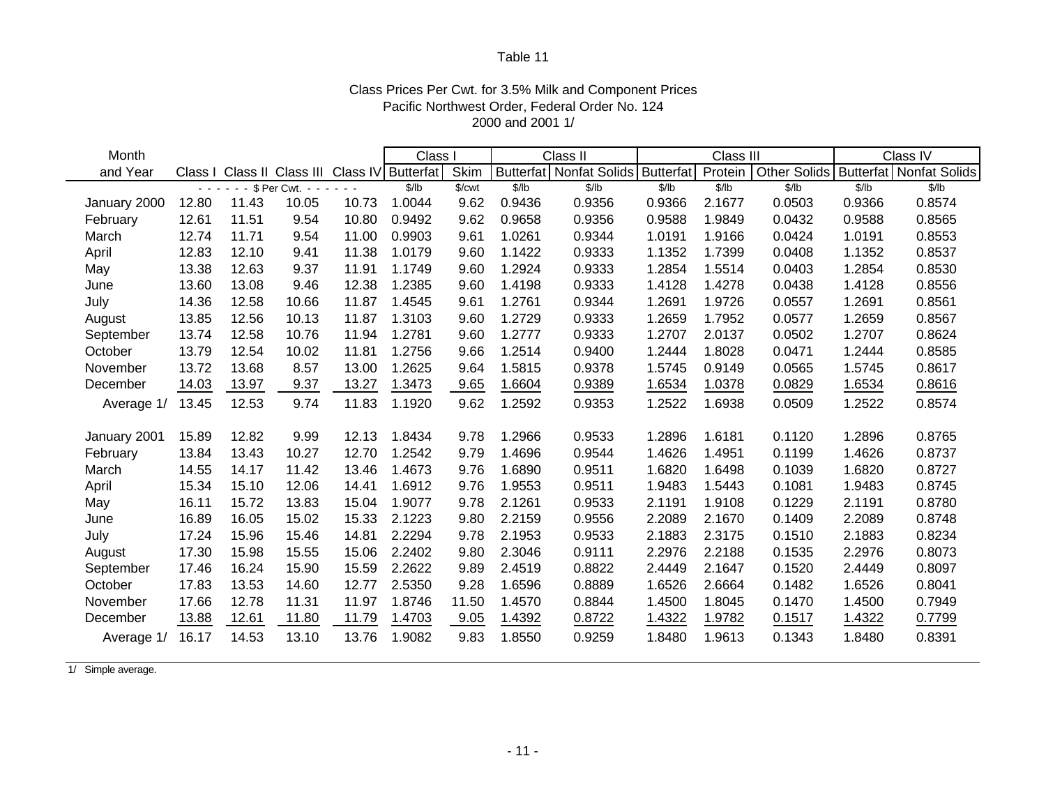## Class Prices Per Cwt. for 3.5% Milk and Component Prices Pacific Northwest Order, Federal Order No. 124 2000 and 2001 1/

| Month        |                  |       |                 |                                               | <b>Class</b> |        | Class II |                         | Class III        |         |                     | Class IV |                         |
|--------------|------------------|-------|-----------------|-----------------------------------------------|--------------|--------|----------|-------------------------|------------------|---------|---------------------|----------|-------------------------|
| and Year     |                  |       |                 | Class I Class II Class III Class IV Butterfat |              | Skim   |          | Butterfat Nonfat Solids | <b>Butterfat</b> | Protein | <b>Other Solids</b> |          | Butterfat Nonfat Solids |
|              | $\sim$ 10 $\sim$ |       | \$ Per Cwt. - - |                                               | \$/lb        | \$/cwt | \$/lb    | \$/lb                   | \$/lb            | \$/lb   | \$/lb               | \$/lb    | \$/lb                   |
| January 2000 | 12.80            | 11.43 | 10.05           | 10.73                                         | 1.0044       | 9.62   | 0.9436   | 0.9356                  | 0.9366           | 2.1677  | 0.0503              | 0.9366   | 0.8574                  |
| February     | 12.61            | 11.51 | 9.54            | 10.80                                         | 0.9492       | 9.62   | 0.9658   | 0.9356                  | 0.9588           | 1.9849  | 0.0432              | 0.9588   | 0.8565                  |
| March        | 12.74            | 11.71 | 9.54            | 11.00                                         | 0.9903       | 9.61   | 1.0261   | 0.9344                  | 1.0191           | 1.9166  | 0.0424              | 1.0191   | 0.8553                  |
| April        | 12.83            | 12.10 | 9.41            | 11.38                                         | 1.0179       | 9.60   | 1.1422   | 0.9333                  | 1.1352           | 1.7399  | 0.0408              | 1.1352   | 0.8537                  |
| May          | 13.38            | 12.63 | 9.37            | 11.91                                         | 1.1749       | 9.60   | 1.2924   | 0.9333                  | 1.2854           | 1.5514  | 0.0403              | 1.2854   | 0.8530                  |
| June         | 13.60            | 13.08 | 9.46            | 12.38                                         | 1.2385       | 9.60   | 1.4198   | 0.9333                  | 1.4128           | 1.4278  | 0.0438              | 1.4128   | 0.8556                  |
| July         | 14.36            | 12.58 | 10.66           | 11.87                                         | 1.4545       | 9.61   | 1.2761   | 0.9344                  | 1.2691           | 1.9726  | 0.0557              | 1.2691   | 0.8561                  |
| August       | 13.85            | 12.56 | 10.13           | 11.87                                         | 1.3103       | 9.60   | 1.2729   | 0.9333                  | 1.2659           | 1.7952  | 0.0577              | 1.2659   | 0.8567                  |
| September    | 13.74            | 12.58 | 10.76           | 11.94                                         | 1.2781       | 9.60   | 1.2777   | 0.9333                  | 1.2707           | 2.0137  | 0.0502              | 1.2707   | 0.8624                  |
| October      | 13.79            | 12.54 | 10.02           | 11.81                                         | 1.2756       | 9.66   | 1.2514   | 0.9400                  | 1.2444           | 1.8028  | 0.0471              | 1.2444   | 0.8585                  |
| November     | 13.72            | 13.68 | 8.57            | 13.00                                         | 1.2625       | 9.64   | 1.5815   | 0.9378                  | 1.5745           | 0.9149  | 0.0565              | 1.5745   | 0.8617                  |
| December     | 14.03            | 13.97 | 9.37            | 13.27                                         | 1.3473       | 9.65   | .6604    | 0.9389                  | 1.6534           | 1.0378  | 0.0829              | 1.6534   | 0.8616                  |
| Average 1/   | 13.45            | 12.53 | 9.74            | 11.83                                         | 1.1920       | 9.62   | .2592    | 0.9353                  | 1.2522           | 1.6938  | 0.0509              | 1.2522   | 0.8574                  |
|              |                  |       |                 |                                               |              |        |          |                         |                  |         |                     |          |                         |
| January 2001 | 15.89            | 12.82 | 9.99            | 12.13                                         | 1.8434       | 9.78   | 1.2966   | 0.9533                  | 1.2896           | 1.6181  | 0.1120              | 1.2896   | 0.8765                  |
| February     | 13.84            | 13.43 | 10.27           | 12.70                                         | 1.2542       | 9.79   | 1.4696   | 0.9544                  | 1.4626           | 1.4951  | 0.1199              | 1.4626   | 0.8737                  |
| March        | 14.55            | 14.17 | 11.42           | 13.46                                         | 1.4673       | 9.76   | 1.6890   | 0.9511                  | 1.6820           | 1.6498  | 0.1039              | 1.6820   | 0.8727                  |
| April        | 15.34            | 15.10 | 12.06           | 14.41                                         | 1.6912       | 9.76   | 1.9553   | 0.9511                  | 1.9483           | 1.5443  | 0.1081              | 1.9483   | 0.8745                  |
| May          | 16.11            | 15.72 | 13.83           | 15.04                                         | 1.9077       | 9.78   | 2.1261   | 0.9533                  | 2.1191           | 1.9108  | 0.1229              | 2.1191   | 0.8780                  |
| June         | 16.89            | 16.05 | 15.02           | 15.33                                         | 2.1223       | 9.80   | 2.2159   | 0.9556                  | 2.2089           | 2.1670  | 0.1409              | 2.2089   | 0.8748                  |
| July         | 17.24            | 15.96 | 15.46           | 14.81                                         | 2.2294       | 9.78   | 2.1953   | 0.9533                  | 2.1883           | 2.3175  | 0.1510              | 2.1883   | 0.8234                  |
| August       | 17.30            | 15.98 | 15.55           | 15.06                                         | 2.2402       | 9.80   | 2.3046   | 0.9111                  | 2.2976           | 2.2188  | 0.1535              | 2.2976   | 0.8073                  |
| September    | 17.46            | 16.24 | 15.90           | 15.59                                         | 2.2622       | 9.89   | 2.4519   | 0.8822                  | 2.4449           | 2.1647  | 0.1520              | 2.4449   | 0.8097                  |
| October      | 17.83            | 13.53 | 14.60           | 12.77                                         | 2.5350       | 9.28   | 1.6596   | 0.8889                  | 1.6526           | 2.6664  | 0.1482              | 1.6526   | 0.8041                  |
| November     | 17.66            | 12.78 | 11.31           | 11.97                                         | 1.8746       | 11.50  | 1.4570   | 0.8844                  | 1.4500           | 1.8045  | 0.1470              | 1.4500   | 0.7949                  |
| December     | 13.88            | 12.61 | 11.80           | 11.79                                         | 1.4703       | 9.05   | 1.4392   | 0.8722                  | 1.4322           | 1.9782  | 0.1517              | 1.4322   | 0.7799                  |
| Average 1/   | 16.17            | 14.53 | 13.10           | 13.76                                         | 1.9082       | 9.83   | 1.8550   | 0.9259                  | 1.8480           | 1.9613  | 0.1343              | 1.8480   | 0.8391                  |

1/ Simple average.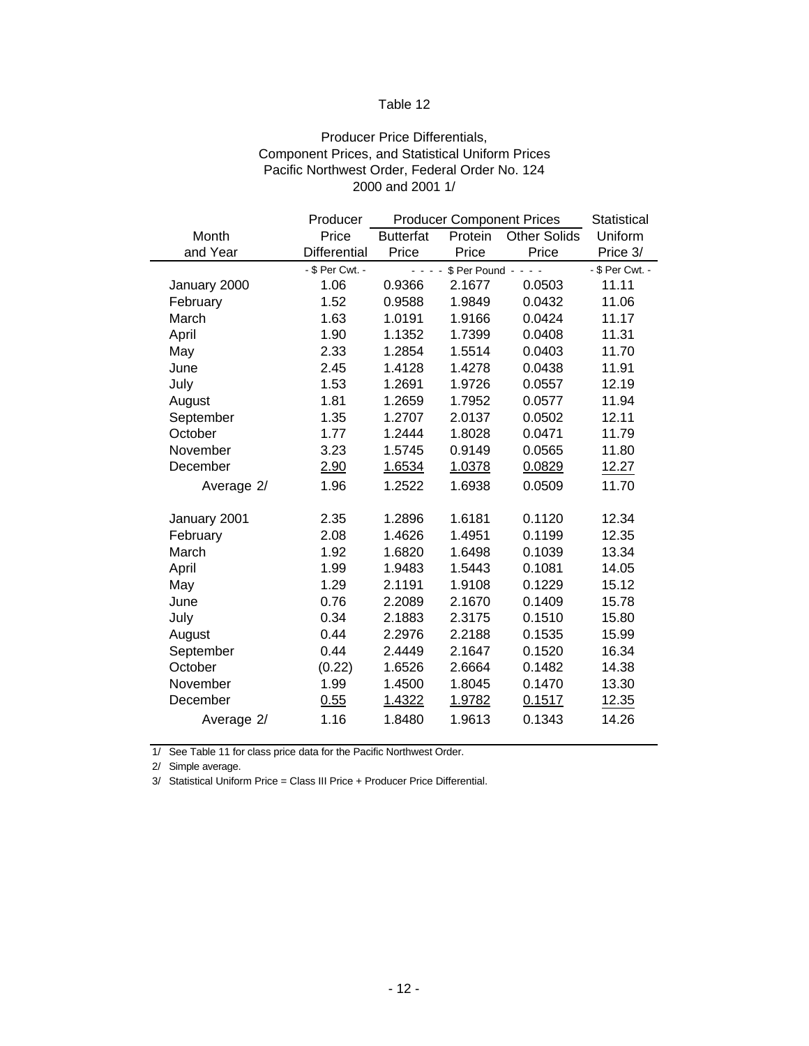## Producer Price Differentials, Component Prices, and Statistical Uniform Prices Pacific Northwest Order, Federal Order No. 124 2000 and 2001 1/

|              | Producer        | <b>Producer Component Prices</b>                                                       | <b>Statistical</b> |                     |          |  |
|--------------|-----------------|----------------------------------------------------------------------------------------|--------------------|---------------------|----------|--|
| Month        | Price           | <b>Butterfat</b>                                                                       | Protein            | <b>Other Solids</b> | Uniform  |  |
| and Year     | Differential    | Price                                                                                  | Price              | Price               | Price 3/ |  |
|              | - \$ Per Cwt. - | - \$ Per Cwt. -<br>$\mathbb{Z}^2$ in the set of $\mathbb{Z}^2$<br>$$Per$ Pound - - - - |                    |                     |          |  |
| January 2000 | 1.06            | 0.9366                                                                                 | 2.1677             | 0.0503              | 11.11    |  |
| February     | 1.52            | 0.9588                                                                                 | 1.9849             | 0.0432              | 11.06    |  |
| March        | 1.63            | 1.0191                                                                                 | 1.9166             | 0.0424              | 11.17    |  |
| April        | 1.90            | 1.1352                                                                                 | 1.7399             | 0.0408              | 11.31    |  |
| May          | 2.33            | 1.2854                                                                                 | 1.5514             | 0.0403              | 11.70    |  |
| June         | 2.45            | 1.4128                                                                                 | 1.4278<br>0.0438   |                     | 11.91    |  |
| July         | 1.53            | 1.2691                                                                                 | 1.9726             | 0.0557              | 12.19    |  |
| August       | 1.81            | 1.2659                                                                                 | 1.7952             | 0.0577              | 11.94    |  |
| September    | 1.35            | 1.2707                                                                                 | 2.0137             | 0.0502              | 12.11    |  |
| October      | 1.77            | 1.2444                                                                                 | 1.8028             | 0.0471              | 11.79    |  |
| November     | 3.23            | 1.5745                                                                                 | 0.9149             | 0.0565              | 11.80    |  |
| December     | 2.90            | 1.6534                                                                                 | 1.0378             | 0.0829              | 12.27    |  |
| Average 2/   | 1.96            | 1.2522                                                                                 | 1.6938             | 0.0509              | 11.70    |  |
| January 2001 | 2.35            | 1.2896                                                                                 | 1.6181             | 0.1120              | 12.34    |  |
| February     | 2.08            | 1.4626                                                                                 | 1.4951             | 0.1199              | 12.35    |  |
| March        | 1.92            | 1.6820                                                                                 | 1.6498             | 0.1039              | 13.34    |  |
| April        | 1.99            | 1.9483                                                                                 | 1.5443             | 0.1081              | 14.05    |  |
| May          | 1.29            | 2.1191                                                                                 | 1.9108             | 0.1229              | 15.12    |  |
| June         | 0.76            | 2.2089                                                                                 | 2.1670             | 0.1409              | 15.78    |  |
| July         | 0.34            | 2.1883                                                                                 | 2.3175             | 0.1510              | 15.80    |  |
| August       | 0.44            | 2.2976                                                                                 | 2.2188             | 0.1535              | 15.99    |  |
| September    | 0.44            | 2.4449                                                                                 | 2.1647             | 0.1520              | 16.34    |  |
| October      | (0.22)          | 1.6526                                                                                 | 2.6664             | 0.1482              | 14.38    |  |
| November     | 1.99            | 1.4500                                                                                 | 1.8045             | 0.1470              | 13.30    |  |
| December     | 0.55            | 1.4322                                                                                 | 1.9782             | 0.1517              | 12.35    |  |
| Average 2/   | 1.16            | 1.8480                                                                                 | 1.9613             | 0.1343              | 14.26    |  |

1/ See Table 11 for class price data for the Pacific Northwest Order.

2/ Simple average.

3/ Statistical Uniform Price = Class III Price + Producer Price Differential.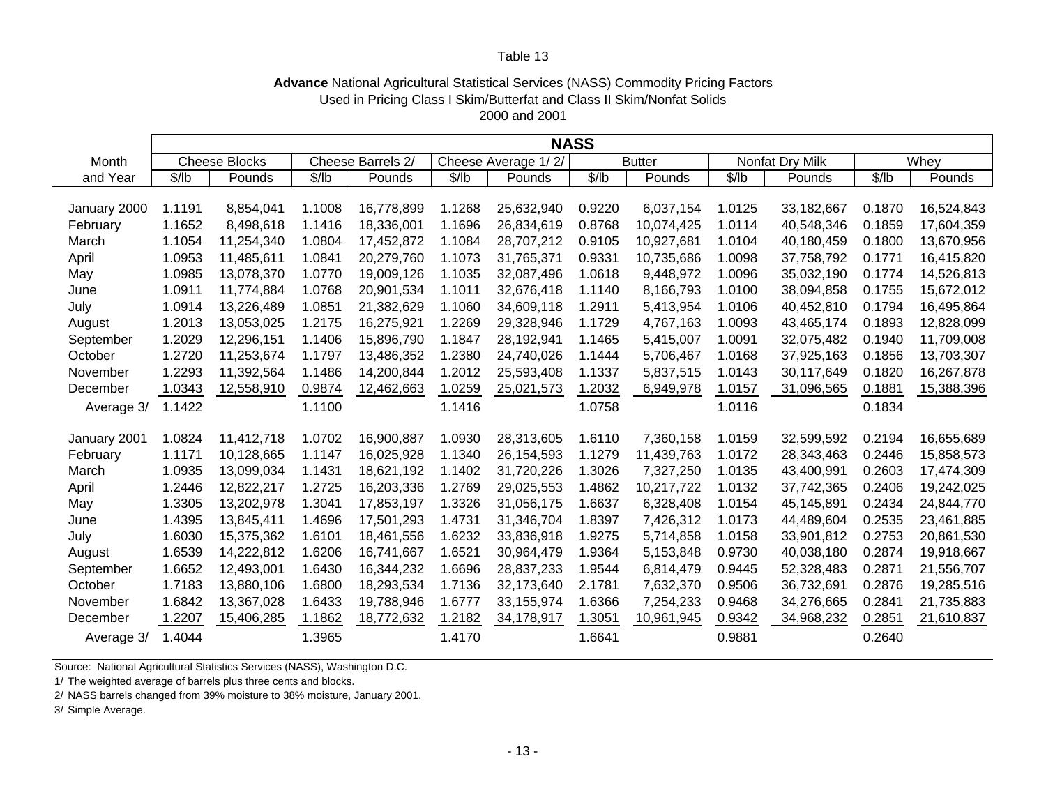#### **Advance** National Agricultural Statistical Services (NASS) Commodity Pricing Factors 2000 and 2001 Used in Pricing Class I Skim/Butterfat and Class II Skim/Nonfat Solids

|              | <b>NASS</b> |                      |        |                   |                     |            |               |            |                 |            |        |            |
|--------------|-------------|----------------------|--------|-------------------|---------------------|------------|---------------|------------|-----------------|------------|--------|------------|
| Month        |             | <b>Cheese Blocks</b> |        | Cheese Barrels 2/ | Cheese Average 1/2/ |            | <b>Butter</b> |            | Nonfat Dry Milk |            | Whey   |            |
| and Year     | \$/lb       | Pounds               | \$/lb  | Pounds            | \$/lb               | Pounds     | \$/lb         | Pounds     | \$/lb           | Pounds     | \$/lb  | Pounds     |
|              |             |                      |        |                   |                     |            |               |            |                 |            |        |            |
| January 2000 | 1.1191      | 8,854,041            | 1.1008 | 16,778,899        | 1.1268              | 25,632,940 | 0.9220        | 6,037,154  | 1.0125          | 33,182,667 | 0.1870 | 16,524,843 |
| February     | 1.1652      | 8,498,618            | 1.1416 | 18,336,001        | 1.1696              | 26,834,619 | 0.8768        | 10,074,425 | 1.0114          | 40,548,346 | 0.1859 | 17,604,359 |
| March        | 1.1054      | 11,254,340           | 1.0804 | 17,452,872        | 1.1084              | 28,707,212 | 0.9105        | 10,927,681 | 1.0104          | 40,180,459 | 0.1800 | 13,670,956 |
| April        | 1.0953      | 11,485,611           | 1.0841 | 20,279,760        | 1.1073              | 31,765,371 | 0.9331        | 10,735,686 | 1.0098          | 37,758,792 | 0.1771 | 16,415,820 |
| May          | 1.0985      | 13,078,370           | 1.0770 | 19,009,126        | 1.1035              | 32,087,496 | 1.0618        | 9,448,972  | 1.0096          | 35,032,190 | 0.1774 | 14,526,813 |
| June         | 1.0911      | 11,774,884           | 1.0768 | 20,901,534        | 1.1011              | 32,676,418 | 1.1140        | 8,166,793  | 1.0100          | 38,094,858 | 0.1755 | 15,672,012 |
| July         | 1.0914      | 13,226,489           | 1.0851 | 21,382,629        | 1.1060              | 34,609,118 | 1.2911        | 5,413,954  | 1.0106          | 40,452,810 | 0.1794 | 16,495,864 |
| August       | 1.2013      | 13,053,025           | 1.2175 | 16,275,921        | 1.2269              | 29,328,946 | 1.1729        | 4,767,163  | 1.0093          | 43,465,174 | 0.1893 | 12,828,099 |
| September    | 1.2029      | 12,296,151           | 1.1406 | 15,896,790        | 1.1847              | 28,192,941 | 1.1465        | 5,415,007  | 1.0091          | 32,075,482 | 0.1940 | 11,709,008 |
| October      | 1.2720      | 11,253,674           | 1.1797 | 13,486,352        | 1.2380              | 24,740,026 | 1.1444        | 5,706,467  | 1.0168          | 37,925,163 | 0.1856 | 13,703,307 |
| November     | 1.2293      | 11,392,564           | 1.1486 | 14,200,844        | 1.2012              | 25,593,408 | 1.1337        | 5,837,515  | 1.0143          | 30,117,649 | 0.1820 | 16,267,878 |
| December     | 1.0343      | 12,558,910           | 0.9874 | 12,462,663        | 1.0259              | 25,021,573 | 1.2032        | 6,949,978  | 1.0157          | 31,096,565 | 0.1881 | 15,388,396 |
| Average 3/   | 1.1422      |                      | 1.1100 |                   | 1.1416              |            | 1.0758        |            | 1.0116          |            | 0.1834 |            |
|              |             |                      |        |                   |                     |            |               |            |                 |            |        |            |
| January 2001 | 1.0824      | 11,412,718           | 1.0702 | 16,900,887        | 1.0930              | 28,313,605 | 1.6110        | 7,360,158  | 1.0159          | 32,599,592 | 0.2194 | 16,655,689 |
| February     | 1.1171      | 10,128,665           | 1.1147 | 16,025,928        | 1.1340              | 26,154,593 | 1.1279        | 11,439,763 | 1.0172          | 28,343,463 | 0.2446 | 15,858,573 |
| March        | 1.0935      | 13,099,034           | 1.1431 | 18,621,192        | 1.1402              | 31,720,226 | 1.3026        | 7,327,250  | 1.0135          | 43,400,991 | 0.2603 | 17,474,309 |
| April        | 1.2446      | 12,822,217           | 1.2725 | 16,203,336        | 1.2769              | 29,025,553 | 1.4862        | 10,217,722 | 1.0132          | 37,742,365 | 0.2406 | 19,242,025 |
| May          | 1.3305      | 13,202,978           | 1.3041 | 17,853,197        | 1.3326              | 31,056,175 | 1.6637        | 6,328,408  | 1.0154          | 45,145,891 | 0.2434 | 24,844,770 |
| June         | 1.4395      | 13,845,411           | 1.4696 | 17,501,293        | 1.4731              | 31,346,704 | 1.8397        | 7,426,312  | 1.0173          | 44,489,604 | 0.2535 | 23,461,885 |
| July         | 1.6030      | 15,375,362           | 1.6101 | 18,461,556        | 1.6232              | 33,836,918 | 1.9275        | 5,714,858  | 1.0158          | 33,901,812 | 0.2753 | 20,861,530 |
| August       | 1.6539      | 14,222,812           | 1.6206 | 16,741,667        | 1.6521              | 30,964,479 | 1.9364        | 5,153,848  | 0.9730          | 40,038,180 | 0.2874 | 19,918,667 |
| September    | 1.6652      | 12,493,001           | 1.6430 | 16,344,232        | 1.6696              | 28,837,233 | 1.9544        | 6,814,479  | 0.9445          | 52,328,483 | 0.2871 | 21,556,707 |
| October      | 1.7183      | 13,880,106           | 1.6800 | 18,293,534        | 1.7136              | 32,173,640 | 2.1781        | 7,632,370  | 0.9506          | 36,732,691 | 0.2876 | 19,285,516 |
| November     | 1.6842      | 13,367,028           | 1.6433 | 19,788,946        | 1.6777              | 33,155,974 | 1.6366        | 7,254,233  | 0.9468          | 34,276,665 | 0.2841 | 21,735,883 |
| December     | 1.2207      | 15,406,285           | 1.1862 | 18,772,632        | 1.2182              | 34,178,917 | 1.3051        | 10,961,945 | 0.9342          | 34,968,232 | 0.2851 | 21,610,837 |
| Average 3/   | 1.4044      |                      | 1.3965 |                   | 1.4170              |            | 1.6641        |            | 0.9881          |            | 0.2640 |            |

Source: National Agricultural Statistics Services (NASS), Washington D.C.

1/ The weighted average of barrels plus three cents and blocks.

2/ NASS barrels changed from 39% moisture to 38% moisture, January 2001.

3/ Simple Average.